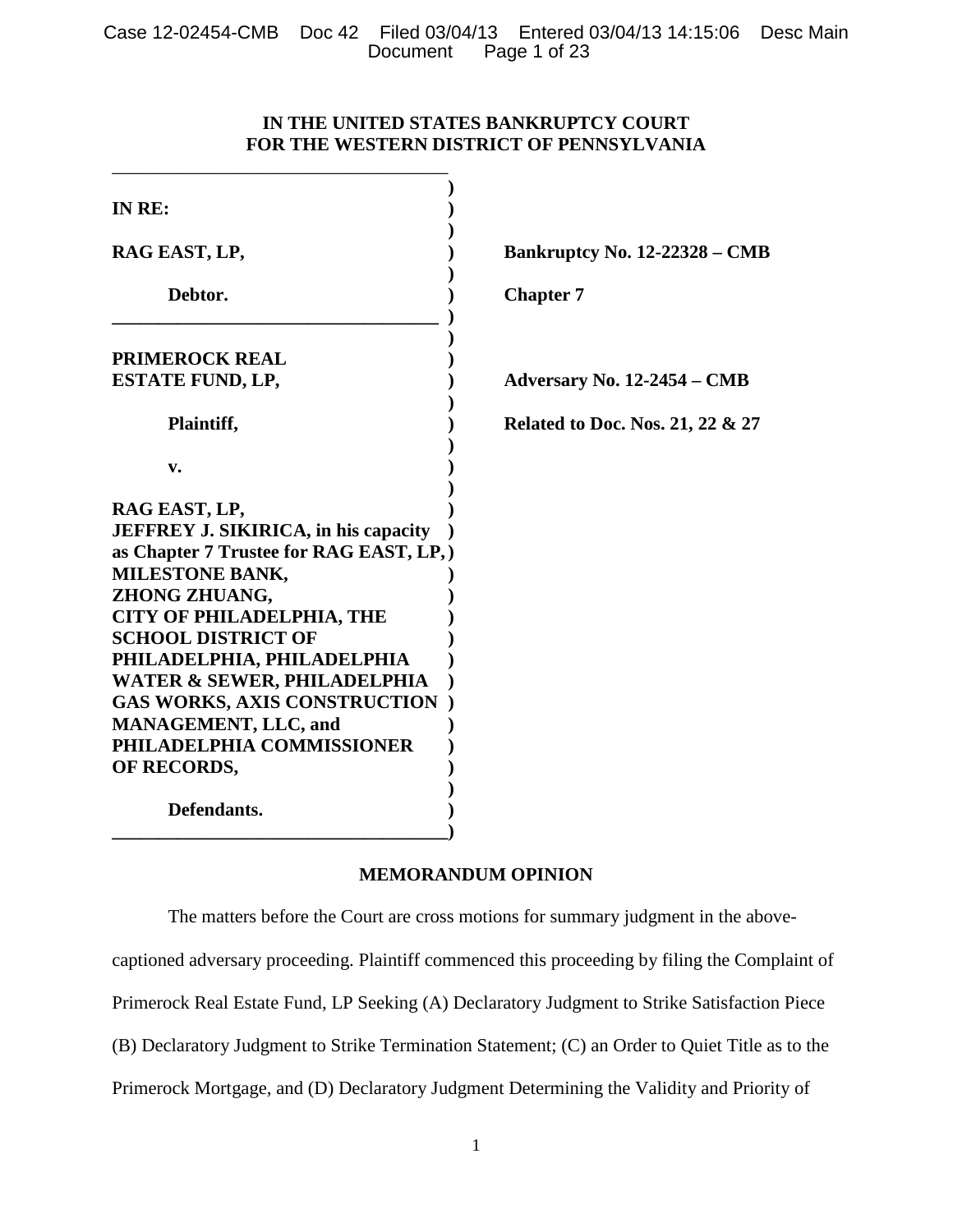Case 12-02454-CMB Doc 42 Filed 03/04/13 Entered 03/04/13 14:15:06 Desc Main Page 1 of 23

# **IN THE UNITED STATES BANKRUPTCY COURT FOR THE WESTERN DISTRICT OF PENNSYLVANIA**

| IN RE:                                                                                                                                                                                                                                                                                                                                                                                                                      |                                      |
|-----------------------------------------------------------------------------------------------------------------------------------------------------------------------------------------------------------------------------------------------------------------------------------------------------------------------------------------------------------------------------------------------------------------------------|--------------------------------------|
| RAG EAST, LP,                                                                                                                                                                                                                                                                                                                                                                                                               | <b>Bankruptcy No. 12-22328 – CMB</b> |
| Debtor.                                                                                                                                                                                                                                                                                                                                                                                                                     | <b>Chapter 7</b>                     |
| <b>PRIMEROCK REAL</b>                                                                                                                                                                                                                                                                                                                                                                                                       |                                      |
| <b>ESTATE FUND, LP,</b>                                                                                                                                                                                                                                                                                                                                                                                                     | Adversary No. 12-2454 – CMB          |
| Plaintiff,                                                                                                                                                                                                                                                                                                                                                                                                                  | Related to Doc. Nos. 21, 22 & 27     |
| v.                                                                                                                                                                                                                                                                                                                                                                                                                          |                                      |
| RAG EAST, LP,<br><b>JEFFREY J. SIKIRICA, in his capacity</b><br>as Chapter 7 Trustee for RAG EAST, LP,<br><b>MILESTONE BANK,</b><br>ZHONG ZHUANG,<br><b>CITY OF PHILADELPHIA, THE</b><br><b>SCHOOL DISTRICT OF</b><br>PHILADELPHIA, PHILADELPHIA<br><b>WATER &amp; SEWER, PHILADELPHIA</b><br><b>GAS WORKS, AXIS CONSTRUCTION</b><br><b>MANAGEMENT, LLC, and</b><br>PHILADELPHIA COMMISSIONER<br>OF RECORDS,<br>Defendants. |                                      |

# **MEMORANDUM OPINION**

The matters before the Court are cross motions for summary judgment in the above-

captioned adversary proceeding. Plaintiff commenced this proceeding by filing the Complaint of

Primerock Real Estate Fund, LP Seeking (A) Declaratory Judgment to Strike Satisfaction Piece

(B) Declaratory Judgment to Strike Termination Statement; (C) an Order to Quiet Title as to the

Primerock Mortgage, and (D) Declaratory Judgment Determining the Validity and Priority of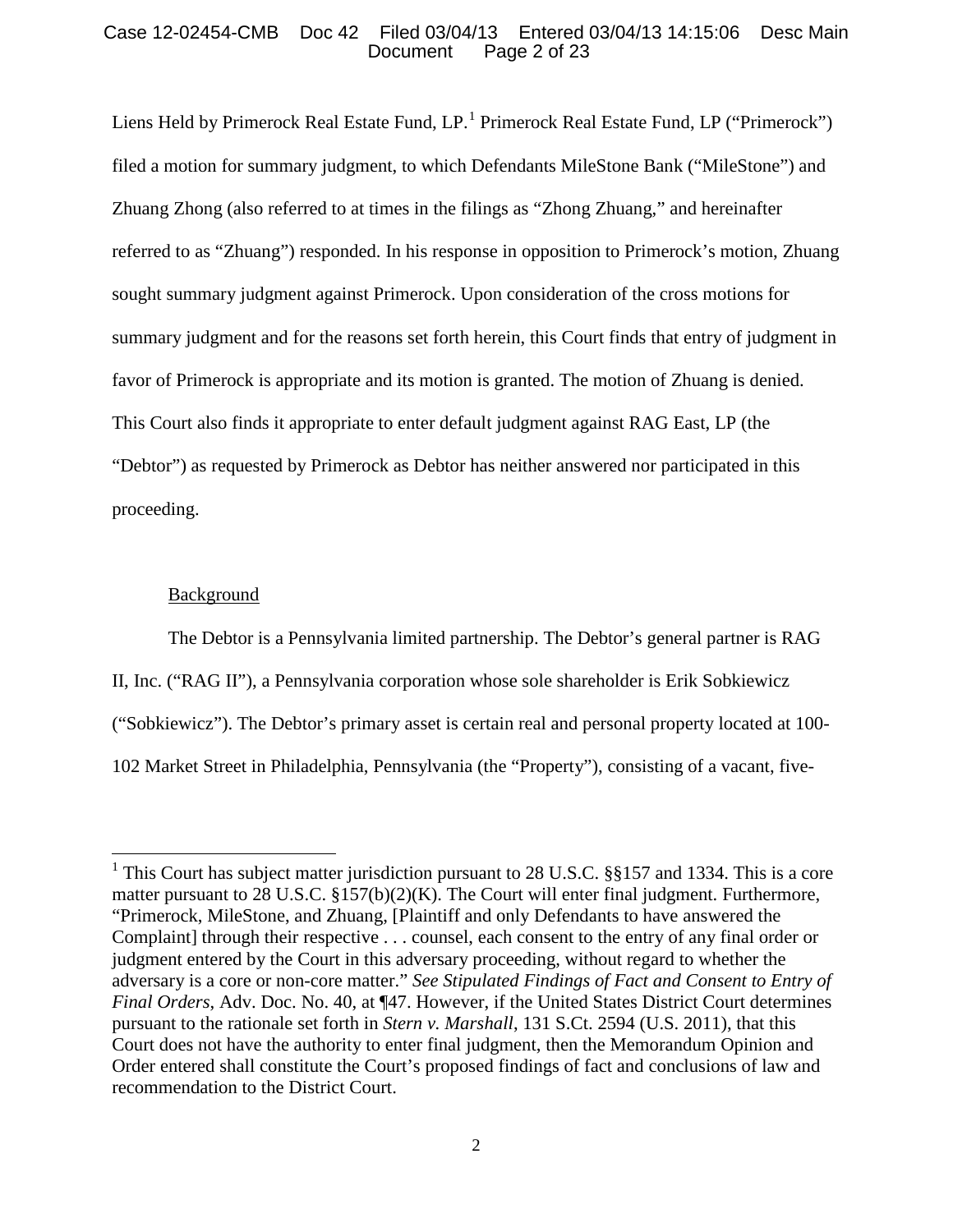# Case 12-02454-CMB Doc 42 Filed 03/04/13 Entered 03/04/13 14:15:06 Desc Main Page 2 of 23

Liens Held by Primerock Real Estate Fund,  $LP<sup>1</sup>$  $LP<sup>1</sup>$  $LP<sup>1</sup>$  Primerock Real Estate Fund, LP ("Primerock") filed a motion for summary judgment, to which Defendants MileStone Bank ("MileStone") and Zhuang Zhong (also referred to at times in the filings as "Zhong Zhuang," and hereinafter referred to as "Zhuang") responded. In his response in opposition to Primerock's motion, Zhuang sought summary judgment against Primerock. Upon consideration of the cross motions for summary judgment and for the reasons set forth herein, this Court finds that entry of judgment in favor of Primerock is appropriate and its motion is granted. The motion of Zhuang is denied. This Court also finds it appropriate to enter default judgment against RAG East, LP (the "Debtor") as requested by Primerock as Debtor has neither answered nor participated in this proceeding.

# Background

The Debtor is a Pennsylvania limited partnership. The Debtor's general partner is RAG II, Inc. ("RAG II"), a Pennsylvania corporation whose sole shareholder is Erik Sobkiewicz ("Sobkiewicz"). The Debtor's primary asset is certain real and personal property located at 100- 102 Market Street in Philadelphia, Pennsylvania (the "Property"), consisting of a vacant, five-

<span id="page-1-0"></span><sup>&</sup>lt;sup>1</sup> This Court has subject matter jurisdiction pursuant to 28 U.S.C.  $\S$ §157 and 1334. This is a core matter pursuant to 28 U.S.C. §157(b)(2)(K). The Court will enter final judgment. Furthermore, "Primerock, MileStone, and Zhuang, [Plaintiff and only Defendants to have answered the Complaint] through their respective . . . counsel, each consent to the entry of any final order or judgment entered by the Court in this adversary proceeding, without regard to whether the adversary is a core or non-core matter." *See Stipulated Findings of Fact and Consent to Entry of Final Orders*, Adv. Doc. No. 40, at ¶47. However, if the United States District Court determines pursuant to the rationale set forth in *Stern v. Marshall*, 131 S.Ct. 2594 (U.S. 2011), that this Court does not have the authority to enter final judgment, then the Memorandum Opinion and Order entered shall constitute the Court's proposed findings of fact and conclusions of law and recommendation to the District Court.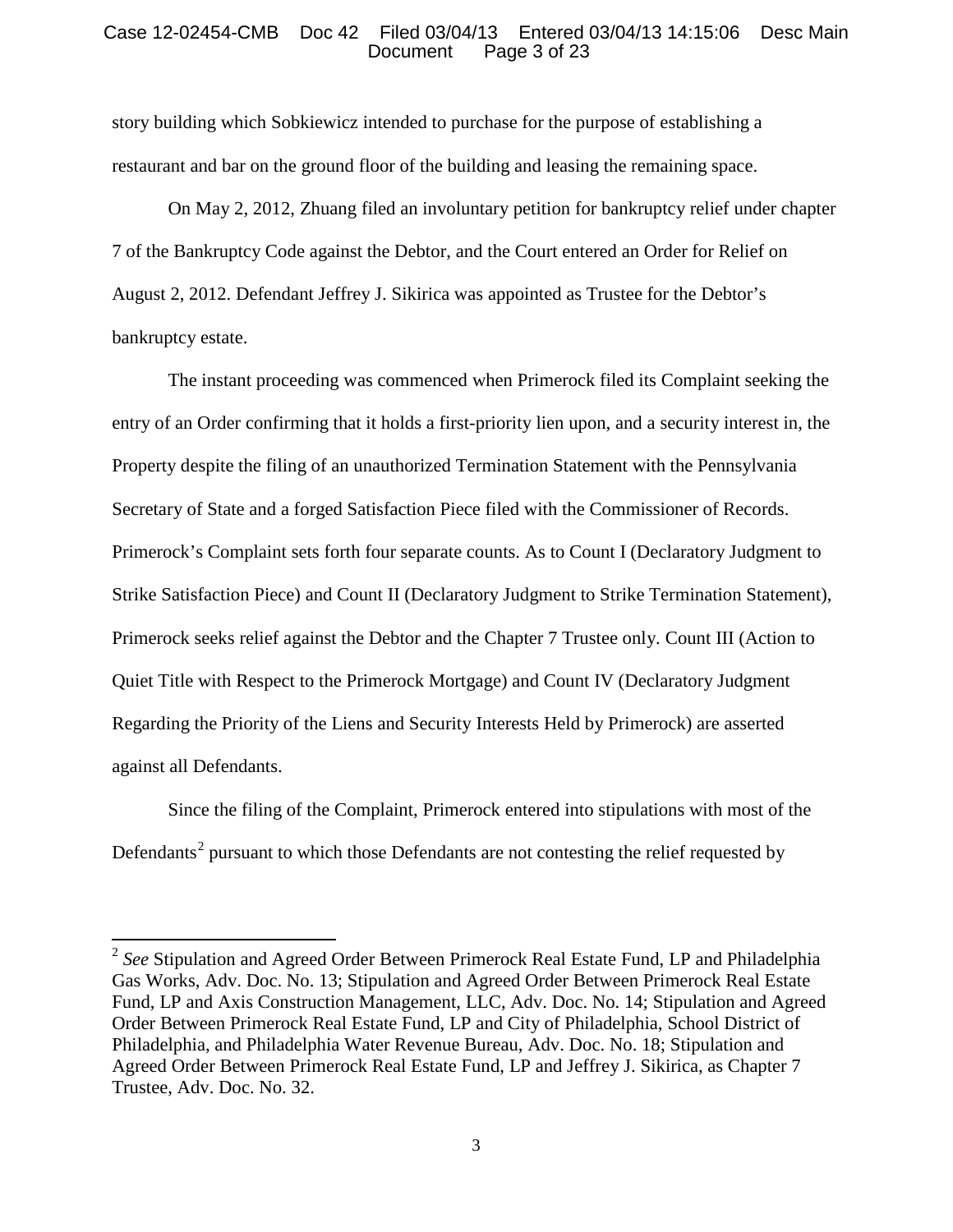## Case 12-02454-CMB Doc 42 Filed 03/04/13 Entered 03/04/13 14:15:06 Desc Main<br>Document Page 3 of 23 Page 3 of 23

story building which Sobkiewicz intended to purchase for the purpose of establishing a restaurant and bar on the ground floor of the building and leasing the remaining space.

On May 2, 2012, Zhuang filed an involuntary petition for bankruptcy relief under chapter 7 of the Bankruptcy Code against the Debtor, and the Court entered an Order for Relief on August 2, 2012. Defendant Jeffrey J. Sikirica was appointed as Trustee for the Debtor's bankruptcy estate.

The instant proceeding was commenced when Primerock filed its Complaint seeking the entry of an Order confirming that it holds a first-priority lien upon, and a security interest in, the Property despite the filing of an unauthorized Termination Statement with the Pennsylvania Secretary of State and a forged Satisfaction Piece filed with the Commissioner of Records. Primerock's Complaint sets forth four separate counts. As to Count I (Declaratory Judgment to Strike Satisfaction Piece) and Count II (Declaratory Judgment to Strike Termination Statement), Primerock seeks relief against the Debtor and the Chapter 7 Trustee only. Count III (Action to Quiet Title with Respect to the Primerock Mortgage) and Count IV (Declaratory Judgment Regarding the Priority of the Liens and Security Interests Held by Primerock) are asserted against all Defendants.

Since the filing of the Complaint, Primerock entered into stipulations with most of the Defendants<sup>[2](#page-2-0)</sup> pursuant to which those Defendants are not contesting the relief requested by

<span id="page-2-0"></span><sup>2</sup> *See* Stipulation and Agreed Order Between Primerock Real Estate Fund, LP and Philadelphia Gas Works, Adv. Doc. No. 13; Stipulation and Agreed Order Between Primerock Real Estate Fund, LP and Axis Construction Management, LLC, Adv. Doc. No. 14; Stipulation and Agreed Order Between Primerock Real Estate Fund, LP and City of Philadelphia, School District of Philadelphia, and Philadelphia Water Revenue Bureau, Adv. Doc. No. 18; Stipulation and Agreed Order Between Primerock Real Estate Fund, LP and Jeffrey J. Sikirica, as Chapter 7 Trustee, Adv. Doc. No. 32.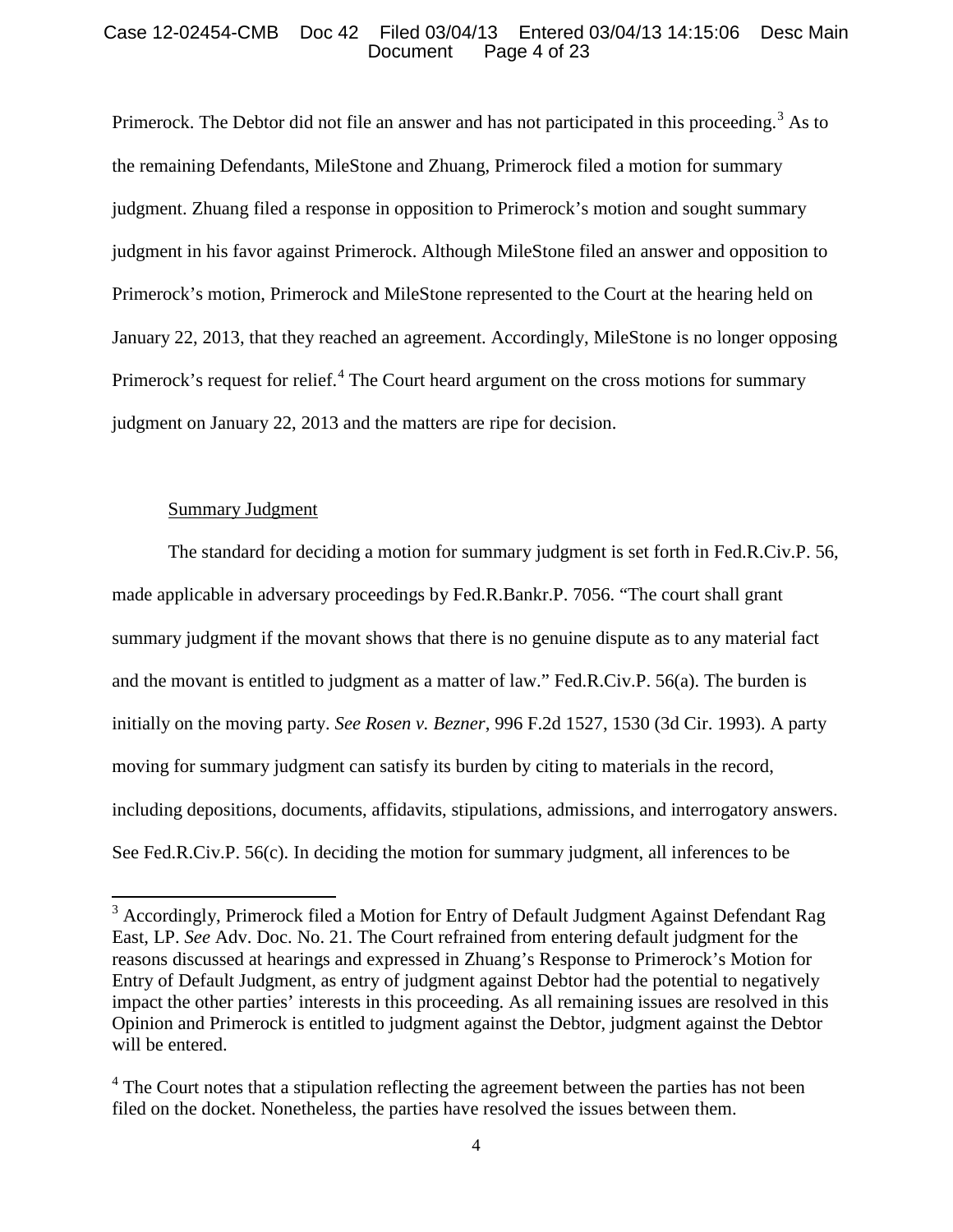## Case 12-02454-CMB Doc 42 Filed 03/04/13 Entered 03/04/13 14:15:06 Desc Main<br>Document Page 4 of 23 Page 4 of 23

Primerock. The Debtor did not file an answer and has not participated in this proceeding.<sup>[3](#page-3-0)</sup> As to the remaining Defendants, MileStone and Zhuang, Primerock filed a motion for summary judgment. Zhuang filed a response in opposition to Primerock's motion and sought summary judgment in his favor against Primerock. Although MileStone filed an answer and opposition to Primerock's motion, Primerock and MileStone represented to the Court at the hearing held on January 22, 2013, that they reached an agreement. Accordingly, MileStone is no longer opposing Primerock's request for relief.<sup>[4](#page-3-1)</sup> The Court heard argument on the cross motions for summary judgment on January 22, 2013 and the matters are ripe for decision.

# Summary Judgment

The standard for deciding a motion for summary judgment is set forth in Fed.R.Civ.P. 56, made applicable in adversary proceedings by Fed.R.Bankr.P. 7056. "The court shall grant summary judgment if the movant shows that there is no genuine dispute as to any material fact and the movant is entitled to judgment as a matter of law." Fed.R.Civ.P. 56(a). The burden is initially on the moving party. *See Rosen v. Bezner*, 996 F.2d 1527, 1530 (3d Cir. 1993). A party moving for summary judgment can satisfy its burden by citing to materials in the record, including depositions, documents, affidavits, stipulations, admissions, and interrogatory answers. See Fed.R.Civ.P. 56(c). In deciding the motion for summary judgment, all inferences to be

<span id="page-3-0"></span><sup>&</sup>lt;sup>3</sup> Accordingly, Primerock filed a Motion for Entry of Default Judgment Against Defendant Rag East, LP. *See* Adv. Doc. No. 21. The Court refrained from entering default judgment for the reasons discussed at hearings and expressed in Zhuang's Response to Primerock's Motion for Entry of Default Judgment, as entry of judgment against Debtor had the potential to negatively impact the other parties' interests in this proceeding. As all remaining issues are resolved in this Opinion and Primerock is entitled to judgment against the Debtor, judgment against the Debtor will be entered.

<span id="page-3-1"></span> $4$  The Court notes that a stipulation reflecting the agreement between the parties has not been filed on the docket. Nonetheless, the parties have resolved the issues between them.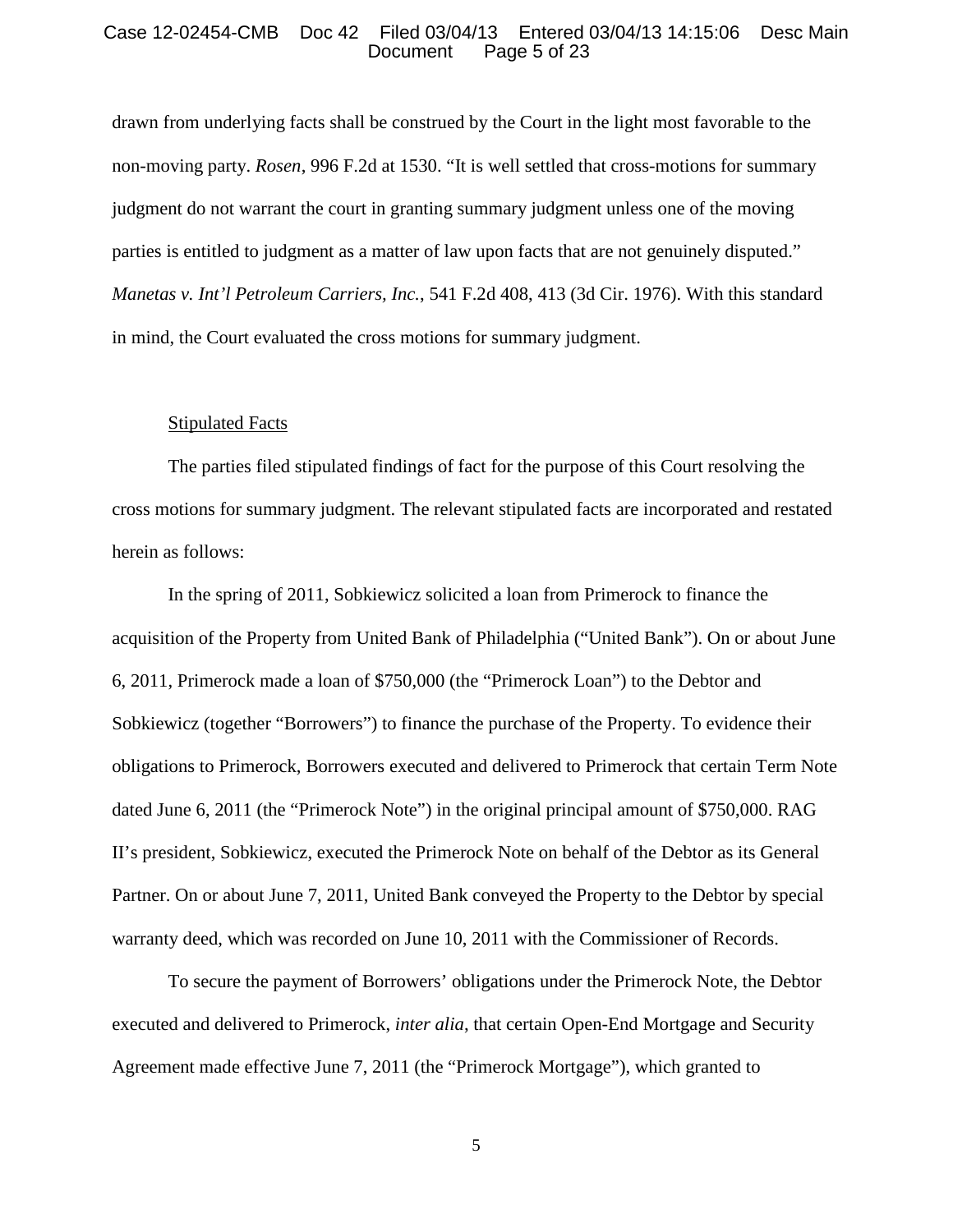## Case 12-02454-CMB Doc 42 Filed 03/04/13 Entered 03/04/13 14:15:06 Desc Main<br>Document Page 5 of 23 Page 5 of 23

drawn from underlying facts shall be construed by the Court in the light most favorable to the non-moving party. *Rosen*, 996 F.2d at 1530. "It is well settled that cross-motions for summary judgment do not warrant the court in granting summary judgment unless one of the moving parties is entitled to judgment as a matter of law upon facts that are not genuinely disputed." *Manetas v. Int'l Petroleum Carriers, Inc.*, 541 F.2d 408, 413 (3d Cir. 1976). With this standard in mind, the Court evaluated the cross motions for summary judgment.

## Stipulated Facts

The parties filed stipulated findings of fact for the purpose of this Court resolving the cross motions for summary judgment. The relevant stipulated facts are incorporated and restated herein as follows:

In the spring of 2011, Sobkiewicz solicited a loan from Primerock to finance the acquisition of the Property from United Bank of Philadelphia ("United Bank"). On or about June 6, 2011, Primerock made a loan of \$750,000 (the "Primerock Loan") to the Debtor and Sobkiewicz (together "Borrowers") to finance the purchase of the Property. To evidence their obligations to Primerock, Borrowers executed and delivered to Primerock that certain Term Note dated June 6, 2011 (the "Primerock Note") in the original principal amount of \$750,000. RAG II's president, Sobkiewicz, executed the Primerock Note on behalf of the Debtor as its General Partner. On or about June 7, 2011, United Bank conveyed the Property to the Debtor by special warranty deed, which was recorded on June 10, 2011 with the Commissioner of Records.

To secure the payment of Borrowers' obligations under the Primerock Note, the Debtor executed and delivered to Primerock, *inter alia*, that certain Open-End Mortgage and Security Agreement made effective June 7, 2011 (the "Primerock Mortgage"), which granted to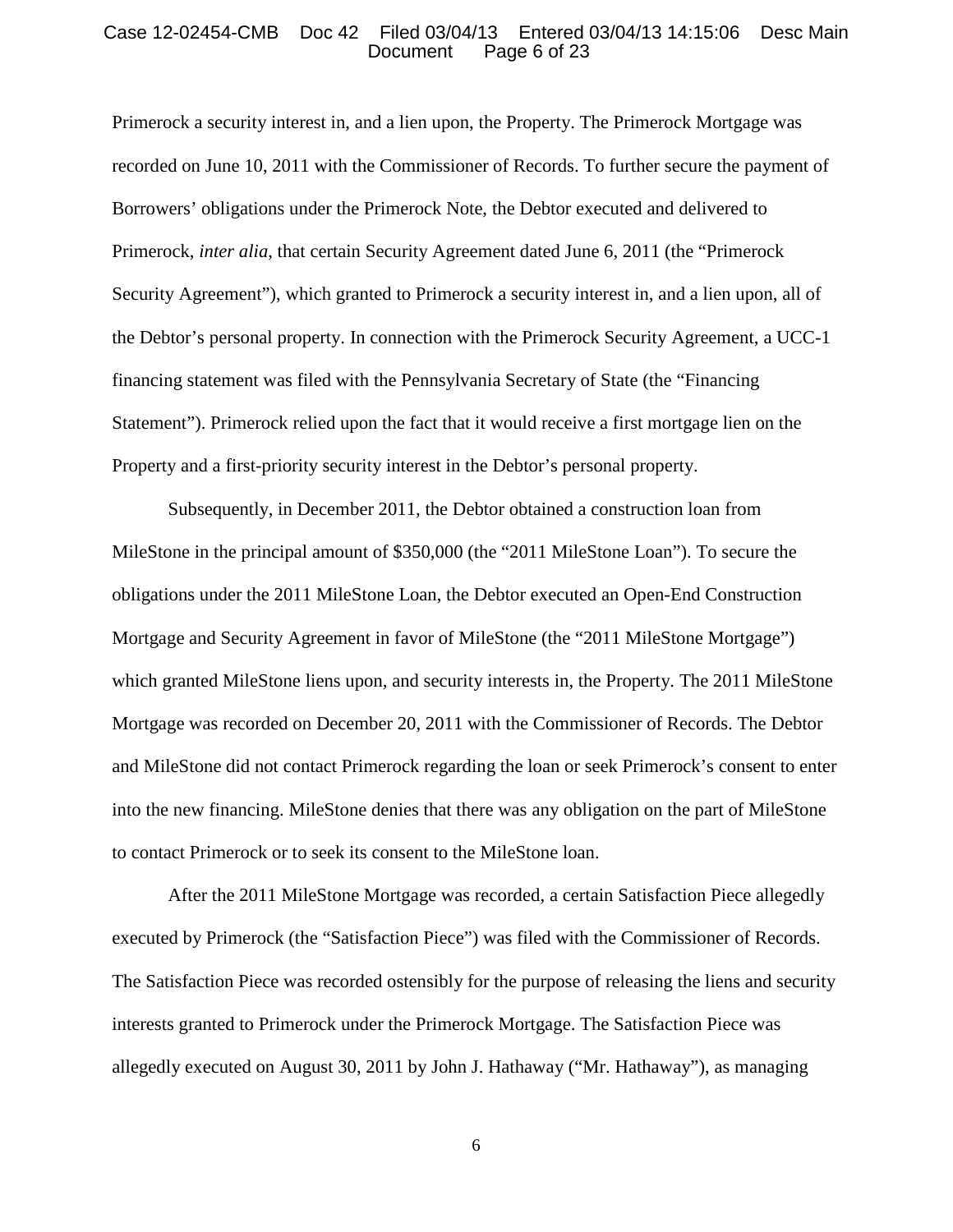## Case 12-02454-CMB Doc 42 Filed 03/04/13 Entered 03/04/13 14:15:06 Desc Main<br>Document Page 6 of 23 Page 6 of 23

Primerock a security interest in, and a lien upon, the Property. The Primerock Mortgage was recorded on June 10, 2011 with the Commissioner of Records. To further secure the payment of Borrowers' obligations under the Primerock Note, the Debtor executed and delivered to Primerock, *inter alia*, that certain Security Agreement dated June 6, 2011 (the "Primerock Security Agreement"), which granted to Primerock a security interest in, and a lien upon, all of the Debtor's personal property. In connection with the Primerock Security Agreement, a UCC-1 financing statement was filed with the Pennsylvania Secretary of State (the "Financing Statement"). Primerock relied upon the fact that it would receive a first mortgage lien on the Property and a first-priority security interest in the Debtor's personal property.

Subsequently, in December 2011, the Debtor obtained a construction loan from MileStone in the principal amount of \$350,000 (the "2011 MileStone Loan"). To secure the obligations under the 2011 MileStone Loan, the Debtor executed an Open-End Construction Mortgage and Security Agreement in favor of MileStone (the "2011 MileStone Mortgage") which granted MileStone liens upon, and security interests in, the Property. The 2011 MileStone Mortgage was recorded on December 20, 2011 with the Commissioner of Records. The Debtor and MileStone did not contact Primerock regarding the loan or seek Primerock's consent to enter into the new financing. MileStone denies that there was any obligation on the part of MileStone to contact Primerock or to seek its consent to the MileStone loan.

After the 2011 MileStone Mortgage was recorded, a certain Satisfaction Piece allegedly executed by Primerock (the "Satisfaction Piece") was filed with the Commissioner of Records. The Satisfaction Piece was recorded ostensibly for the purpose of releasing the liens and security interests granted to Primerock under the Primerock Mortgage. The Satisfaction Piece was allegedly executed on August 30, 2011 by John J. Hathaway ("Mr. Hathaway"), as managing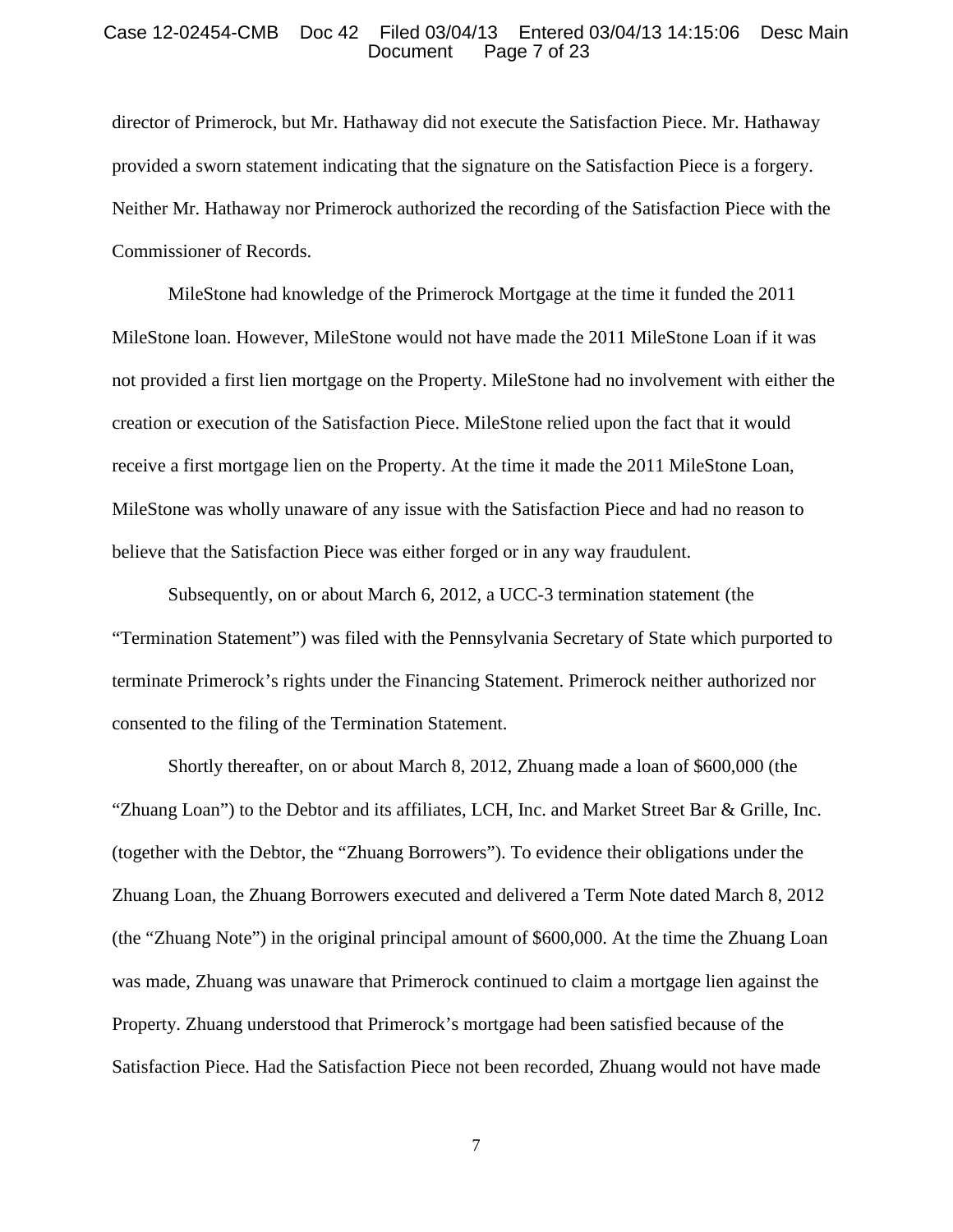#### Case 12-02454-CMB Doc 42 Filed 03/04/13 Entered 03/04/13 14:15:06 Desc Main Page 7 of 23

director of Primerock, but Mr. Hathaway did not execute the Satisfaction Piece. Mr. Hathaway provided a sworn statement indicating that the signature on the Satisfaction Piece is a forgery. Neither Mr. Hathaway nor Primerock authorized the recording of the Satisfaction Piece with the Commissioner of Records.

MileStone had knowledge of the Primerock Mortgage at the time it funded the 2011 MileStone loan. However, MileStone would not have made the 2011 MileStone Loan if it was not provided a first lien mortgage on the Property. MileStone had no involvement with either the creation or execution of the Satisfaction Piece. MileStone relied upon the fact that it would receive a first mortgage lien on the Property. At the time it made the 2011 MileStone Loan, MileStone was wholly unaware of any issue with the Satisfaction Piece and had no reason to believe that the Satisfaction Piece was either forged or in any way fraudulent.

Subsequently, on or about March 6, 2012, a UCC-3 termination statement (the "Termination Statement") was filed with the Pennsylvania Secretary of State which purported to terminate Primerock's rights under the Financing Statement. Primerock neither authorized nor consented to the filing of the Termination Statement.

Shortly thereafter, on or about March 8, 2012, Zhuang made a loan of \$600,000 (the "Zhuang Loan") to the Debtor and its affiliates, LCH, Inc. and Market Street Bar & Grille, Inc. (together with the Debtor, the "Zhuang Borrowers"). To evidence their obligations under the Zhuang Loan, the Zhuang Borrowers executed and delivered a Term Note dated March 8, 2012 (the "Zhuang Note") in the original principal amount of \$600,000. At the time the Zhuang Loan was made, Zhuang was unaware that Primerock continued to claim a mortgage lien against the Property. Zhuang understood that Primerock's mortgage had been satisfied because of the Satisfaction Piece. Had the Satisfaction Piece not been recorded, Zhuang would not have made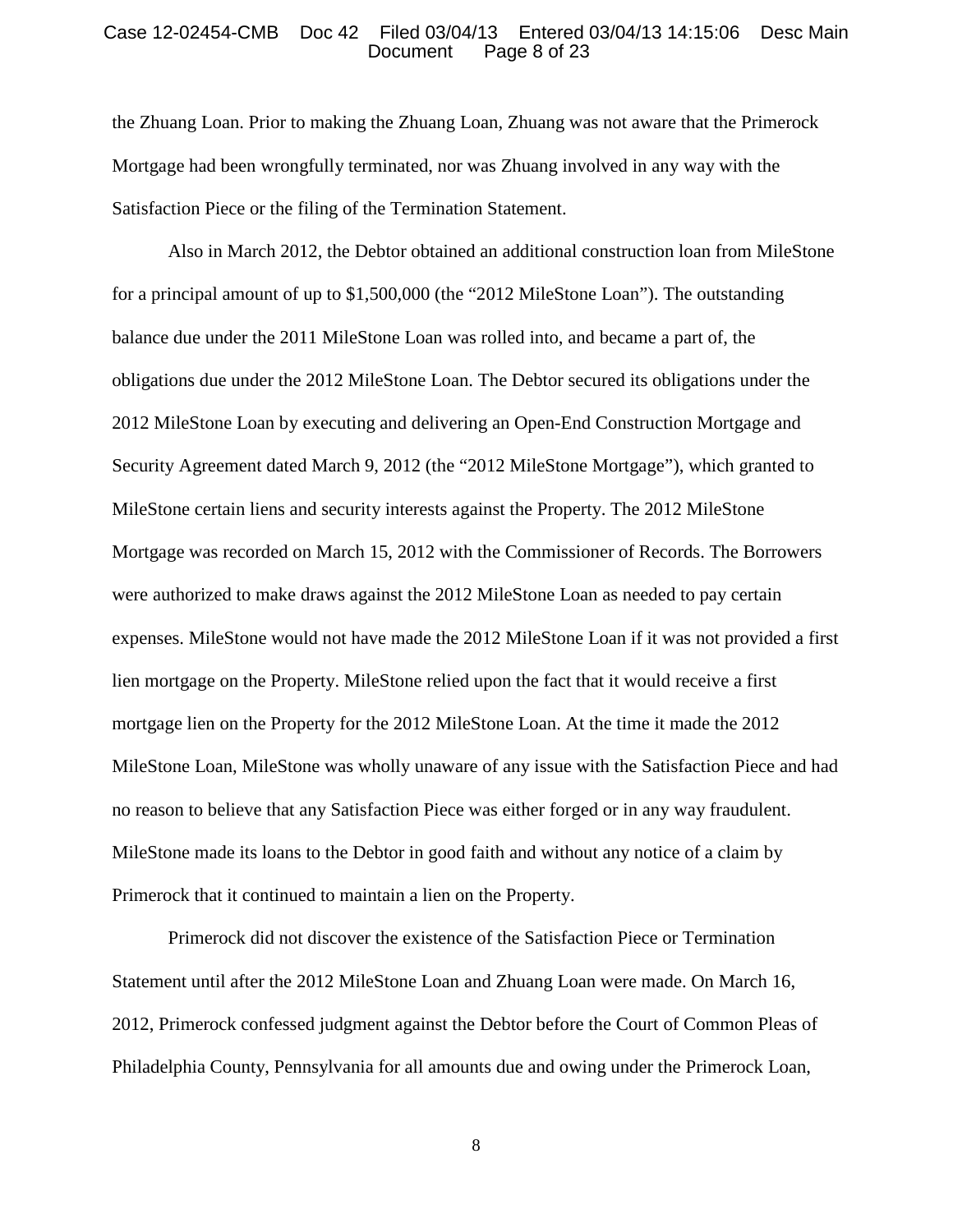## Case 12-02454-CMB Doc 42 Filed 03/04/13 Entered 03/04/13 14:15:06 Desc Main<br>Document Page 8 of 23 Page 8 of 23

the Zhuang Loan. Prior to making the Zhuang Loan, Zhuang was not aware that the Primerock Mortgage had been wrongfully terminated, nor was Zhuang involved in any way with the Satisfaction Piece or the filing of the Termination Statement.

Also in March 2012, the Debtor obtained an additional construction loan from MileStone for a principal amount of up to \$1,500,000 (the "2012 MileStone Loan"). The outstanding balance due under the 2011 MileStone Loan was rolled into, and became a part of, the obligations due under the 2012 MileStone Loan. The Debtor secured its obligations under the 2012 MileStone Loan by executing and delivering an Open-End Construction Mortgage and Security Agreement dated March 9, 2012 (the "2012 MileStone Mortgage"), which granted to MileStone certain liens and security interests against the Property. The 2012 MileStone Mortgage was recorded on March 15, 2012 with the Commissioner of Records. The Borrowers were authorized to make draws against the 2012 MileStone Loan as needed to pay certain expenses. MileStone would not have made the 2012 MileStone Loan if it was not provided a first lien mortgage on the Property. MileStone relied upon the fact that it would receive a first mortgage lien on the Property for the 2012 MileStone Loan. At the time it made the 2012 MileStone Loan, MileStone was wholly unaware of any issue with the Satisfaction Piece and had no reason to believe that any Satisfaction Piece was either forged or in any way fraudulent. MileStone made its loans to the Debtor in good faith and without any notice of a claim by Primerock that it continued to maintain a lien on the Property.

Primerock did not discover the existence of the Satisfaction Piece or Termination Statement until after the 2012 MileStone Loan and Zhuang Loan were made. On March 16, 2012, Primerock confessed judgment against the Debtor before the Court of Common Pleas of Philadelphia County, Pennsylvania for all amounts due and owing under the Primerock Loan,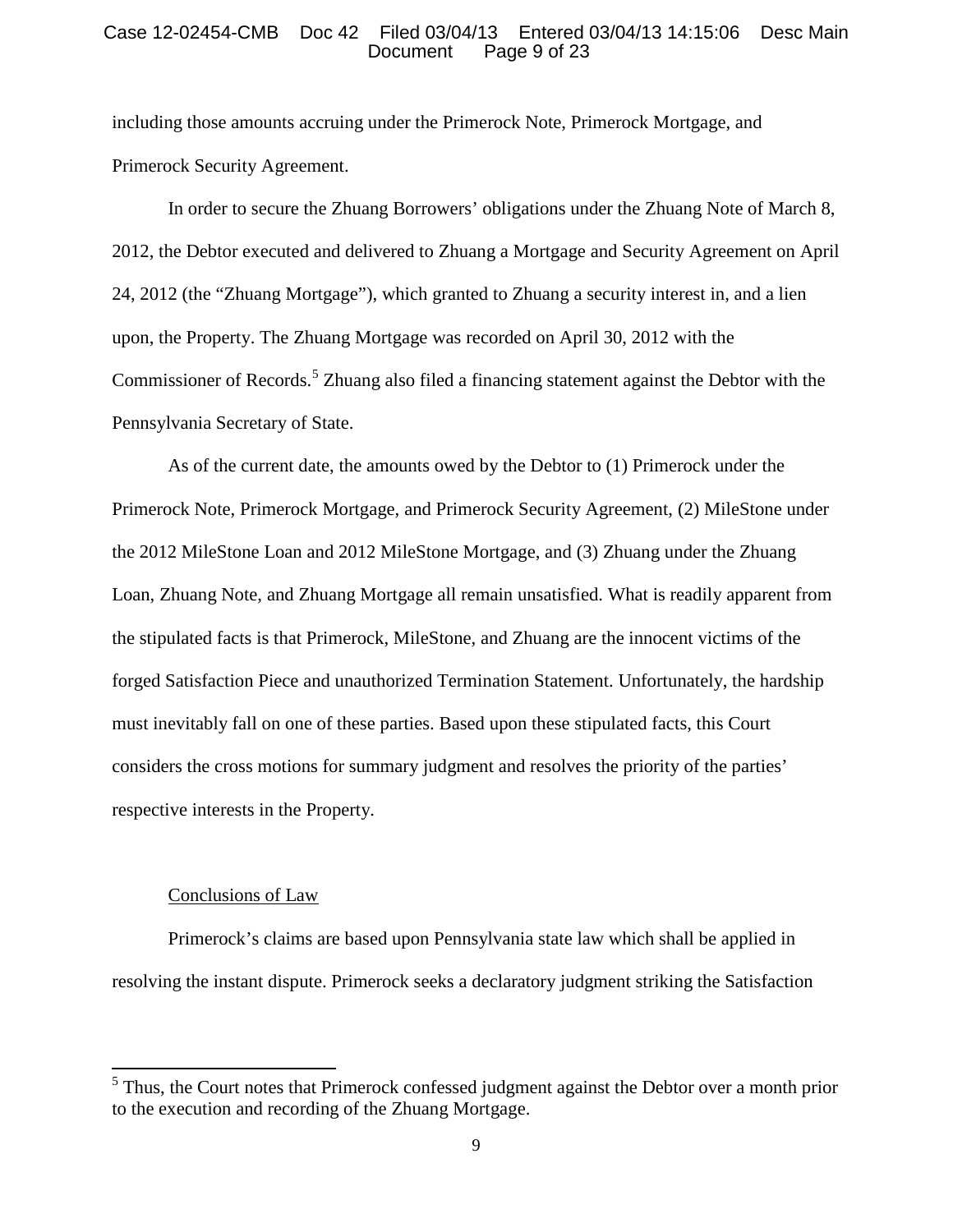## Case 12-02454-CMB Doc 42 Filed 03/04/13 Entered 03/04/13 14:15:06 Desc Main Page 9 of 23

including those amounts accruing under the Primerock Note, Primerock Mortgage, and Primerock Security Agreement.

In order to secure the Zhuang Borrowers' obligations under the Zhuang Note of March 8, 2012, the Debtor executed and delivered to Zhuang a Mortgage and Security Agreement on April 24, 2012 (the "Zhuang Mortgage"), which granted to Zhuang a security interest in, and a lien upon, the Property. The Zhuang Mortgage was recorded on April 30, 2012 with the Commissioner of Records.<sup>[5](#page-8-0)</sup> Zhuang also filed a financing statement against the Debtor with the Pennsylvania Secretary of State.

As of the current date, the amounts owed by the Debtor to (1) Primerock under the Primerock Note, Primerock Mortgage, and Primerock Security Agreement, (2) MileStone under the 2012 MileStone Loan and 2012 MileStone Mortgage, and (3) Zhuang under the Zhuang Loan, Zhuang Note, and Zhuang Mortgage all remain unsatisfied. What is readily apparent from the stipulated facts is that Primerock, MileStone, and Zhuang are the innocent victims of the forged Satisfaction Piece and unauthorized Termination Statement. Unfortunately, the hardship must inevitably fall on one of these parties. Based upon these stipulated facts, this Court considers the cross motions for summary judgment and resolves the priority of the parties' respective interests in the Property.

## Conclusions of Law

Primerock's claims are based upon Pennsylvania state law which shall be applied in resolving the instant dispute. Primerock seeks a declaratory judgment striking the Satisfaction

<span id="page-8-0"></span> $<sup>5</sup>$  Thus, the Court notes that Primerock confessed judgment against the Debtor over a month prior</sup> to the execution and recording of the Zhuang Mortgage.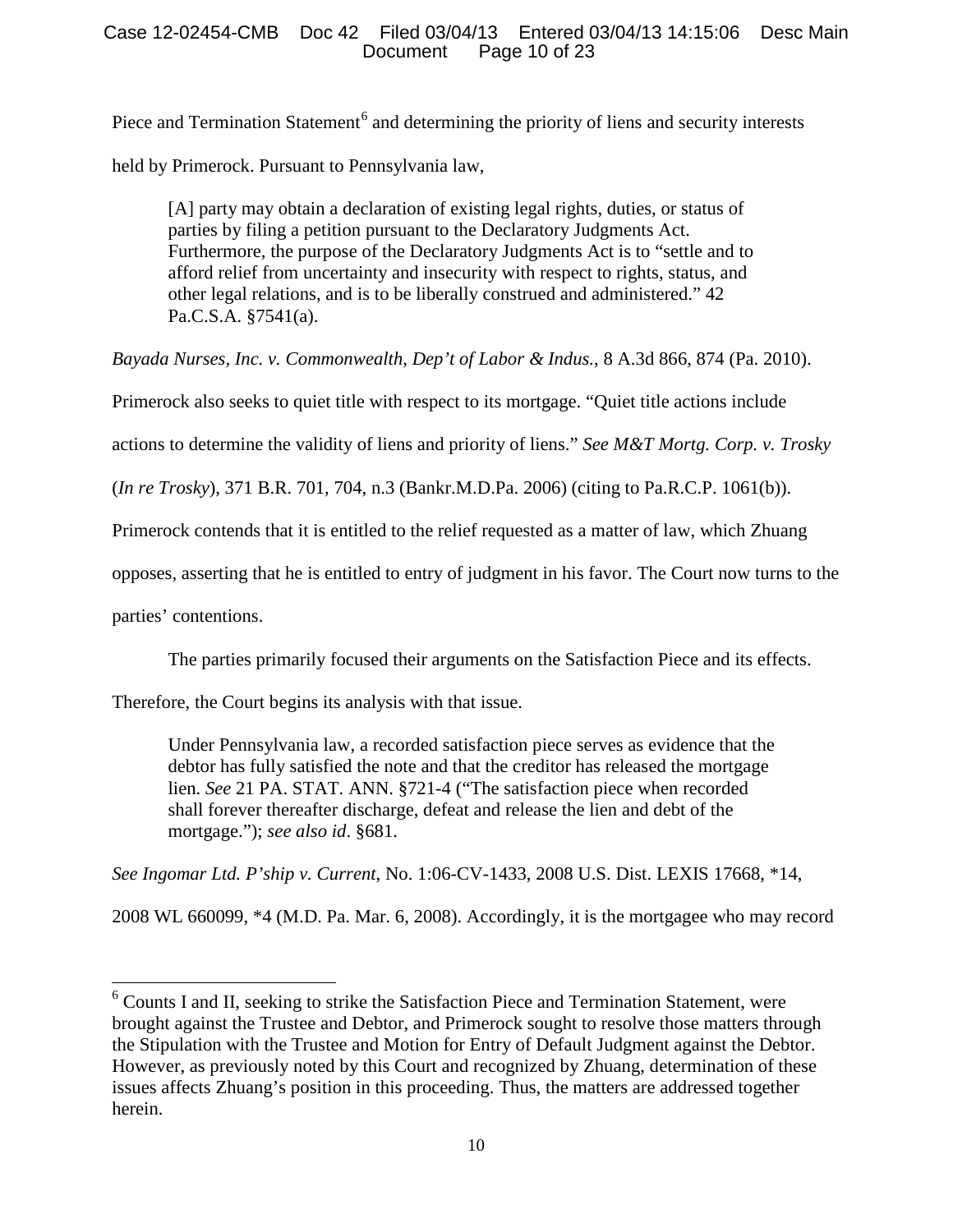# Case 12-02454-CMB Doc 42 Filed 03/04/13 Entered 03/04/13 14:15:06 Desc Main Page 10 of 23

Piece and Termination Statement<sup>[6](#page-9-0)</sup> and determining the priority of liens and security interests

held by Primerock. Pursuant to Pennsylvania law,

[A] party may obtain a declaration of existing legal rights, duties, or status of parties by filing a petition pursuant to the Declaratory Judgments Act. Furthermore, the purpose of the Declaratory Judgments Act is to "settle and to afford relief from uncertainty and insecurity with respect to rights, status, and other legal relations, and is to be liberally construed and administered." 42 Pa.C.S.A. §7541(a).

*Bayada Nurses, Inc. v. Commonwealth, Dep't of Labor & Indus.*, 8 A.3d 866, 874 (Pa. 2010).

Primerock also seeks to quiet title with respect to its mortgage. "Quiet title actions include

actions to determine the validity of liens and priority of liens." *See M&T Mortg. Corp. v. Trosky* 

(*In re Trosky*), 371 B.R. 701, 704, n.3 (Bankr.M.D.Pa. 2006) (citing to Pa.R.C.P. 1061(b)).

Primerock contends that it is entitled to the relief requested as a matter of law, which Zhuang

opposes, asserting that he is entitled to entry of judgment in his favor. The Court now turns to the

parties' contentions.

The parties primarily focused their arguments on the Satisfaction Piece and its effects.

Therefore, the Court begins its analysis with that issue.

Under Pennsylvania law, a recorded satisfaction piece serves as evidence that the debtor has fully satisfied the note and that the creditor has released the mortgage lien. *See* 21 PA. STAT. ANN. §721-4 ("The satisfaction piece when recorded shall forever thereafter discharge, defeat and release the lien and debt of the mortgage."); *see also id*. §681.

*See Ingomar Ltd. P'ship v. Current*, No. 1:06-CV-1433, 2008 U.S. Dist. LEXIS 17668, \*14,

2008 WL 660099, \*4 (M.D. Pa. Mar. 6, 2008). Accordingly, it is the mortgagee who may record

<span id="page-9-0"></span> $6$  Counts I and II, seeking to strike the Satisfaction Piece and Termination Statement, were brought against the Trustee and Debtor, and Primerock sought to resolve those matters through the Stipulation with the Trustee and Motion for Entry of Default Judgment against the Debtor. However, as previously noted by this Court and recognized by Zhuang, determination of these issues affects Zhuang's position in this proceeding. Thus, the matters are addressed together herein.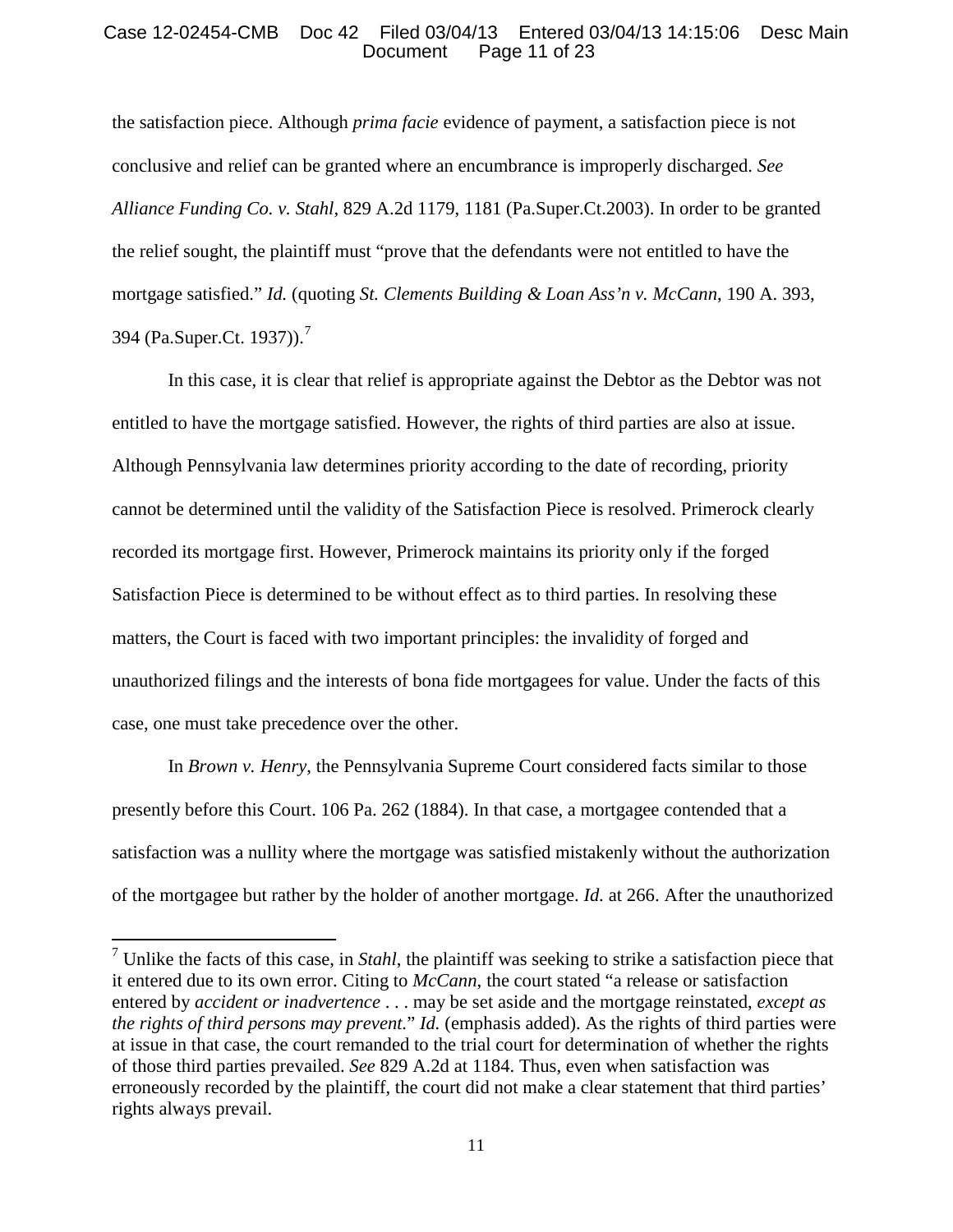# Case 12-02454-CMB Doc 42 Filed 03/04/13 Entered 03/04/13 14:15:06 Desc Main Page 11 of 23

the satisfaction piece. Although *prima facie* evidence of payment, a satisfaction piece is not conclusive and relief can be granted where an encumbrance is improperly discharged. *See Alliance Funding Co. v. Stahl*, 829 A.2d 1179, 1181 (Pa.Super.Ct.2003). In order to be granted the relief sought, the plaintiff must "prove that the defendants were not entitled to have the mortgage satisfied." *Id.* (quoting *St. Clements Building & Loan Ass'n v. McCann*, 190 A. 393, 394 (Pa.Super.Ct. 1937)).[7](#page-10-0)

In this case, it is clear that relief is appropriate against the Debtor as the Debtor was not entitled to have the mortgage satisfied. However, the rights of third parties are also at issue. Although Pennsylvania law determines priority according to the date of recording, priority cannot be determined until the validity of the Satisfaction Piece is resolved. Primerock clearly recorded its mortgage first. However, Primerock maintains its priority only if the forged Satisfaction Piece is determined to be without effect as to third parties. In resolving these matters, the Court is faced with two important principles: the invalidity of forged and unauthorized filings and the interests of bona fide mortgagees for value. Under the facts of this case, one must take precedence over the other.

In *Brown v. Henry*, the Pennsylvania Supreme Court considered facts similar to those presently before this Court. 106 Pa. 262 (1884). In that case, a mortgagee contended that a satisfaction was a nullity where the mortgage was satisfied mistakenly without the authorization of the mortgagee but rather by the holder of another mortgage. *Id.* at 266. After the unauthorized

<span id="page-10-0"></span><sup>7</sup> Unlike the facts of this case, in *Stahl*, the plaintiff was seeking to strike a satisfaction piece that it entered due to its own error. Citing to *McCann*, the court stated "a release or satisfaction entered by *accident or inadvertence* . . . may be set aside and the mortgage reinstated, *except as the rights of third persons may prevent.*" *Id.* (emphasis added). As the rights of third parties were at issue in that case, the court remanded to the trial court for determination of whether the rights of those third parties prevailed. *See* 829 A.2d at 1184. Thus, even when satisfaction was erroneously recorded by the plaintiff, the court did not make a clear statement that third parties' rights always prevail.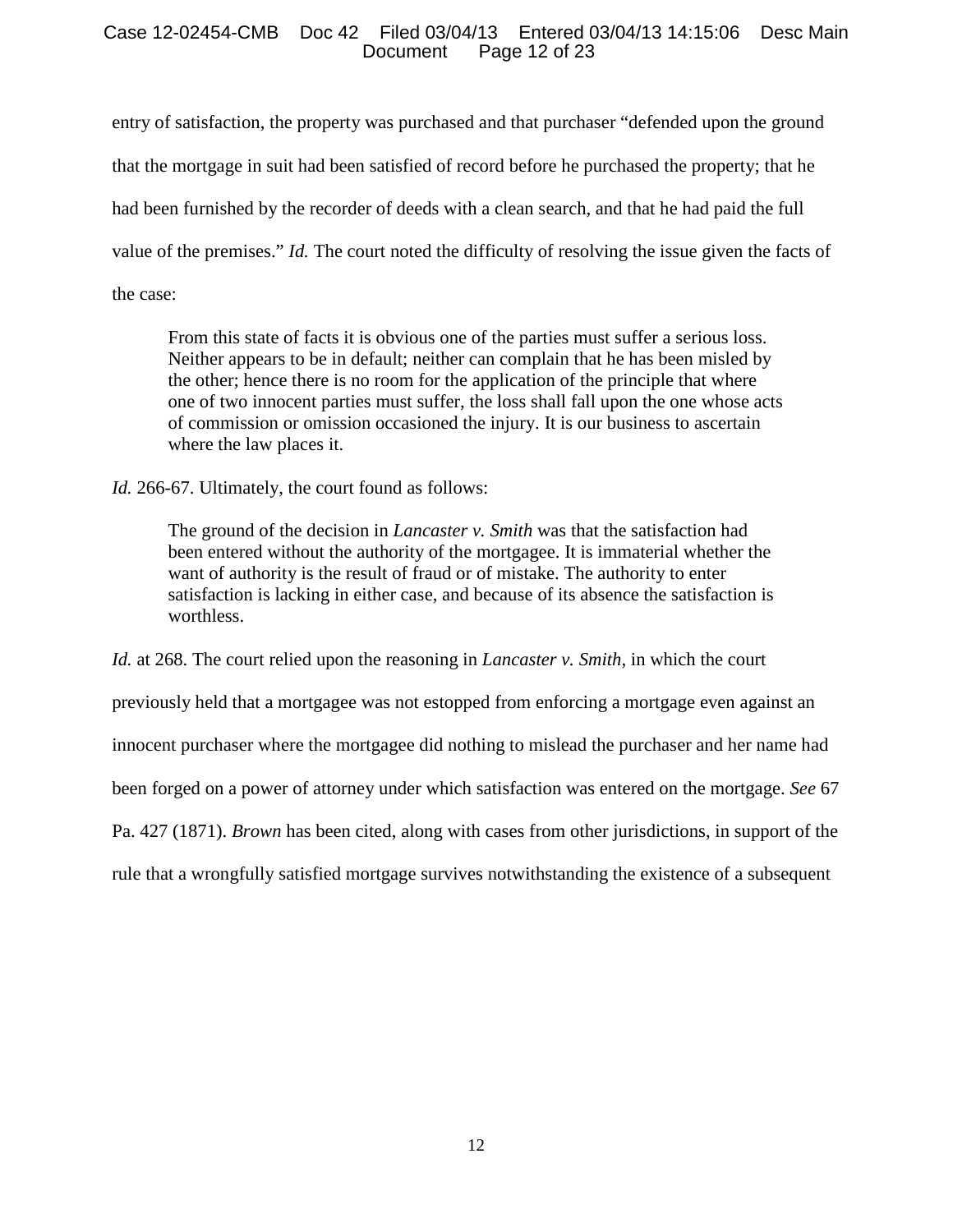# Case 12-02454-CMB Doc 42 Filed 03/04/13 Entered 03/04/13 14:15:06 Desc Main Page 12 of 23

entry of satisfaction, the property was purchased and that purchaser "defended upon the ground that the mortgage in suit had been satisfied of record before he purchased the property; that he had been furnished by the recorder of deeds with a clean search, and that he had paid the full value of the premises." *Id.* The court noted the difficulty of resolving the issue given the facts of the case:

From this state of facts it is obvious one of the parties must suffer a serious loss. Neither appears to be in default; neither can complain that he has been misled by the other; hence there is no room for the application of the principle that where one of two innocent parties must suffer, the loss shall fall upon the one whose acts of commission or omission occasioned the injury. It is our business to ascertain where the law places it.

*Id.* 266-67. Ultimately, the court found as follows:

The ground of the decision in *Lancaster v. Smith* was that the satisfaction had been entered without the authority of the mortgagee. It is immaterial whether the want of authority is the result of fraud or of mistake. The authority to enter satisfaction is lacking in either case, and because of its absence the satisfaction is worthless.

*Id.* at 268. The court relied upon the reasoning in *Lancaster v. Smith,* in which the court previously held that a mortgagee was not estopped from enforcing a mortgage even against an innocent purchaser where the mortgagee did nothing to mislead the purchaser and her name had been forged on a power of attorney under which satisfaction was entered on the mortgage. *See* 67 Pa. 427 (1871). *Brown* has been cited, along with cases from other jurisdictions, in support of the rule that a wrongfully satisfied mortgage survives notwithstanding the existence of a subsequent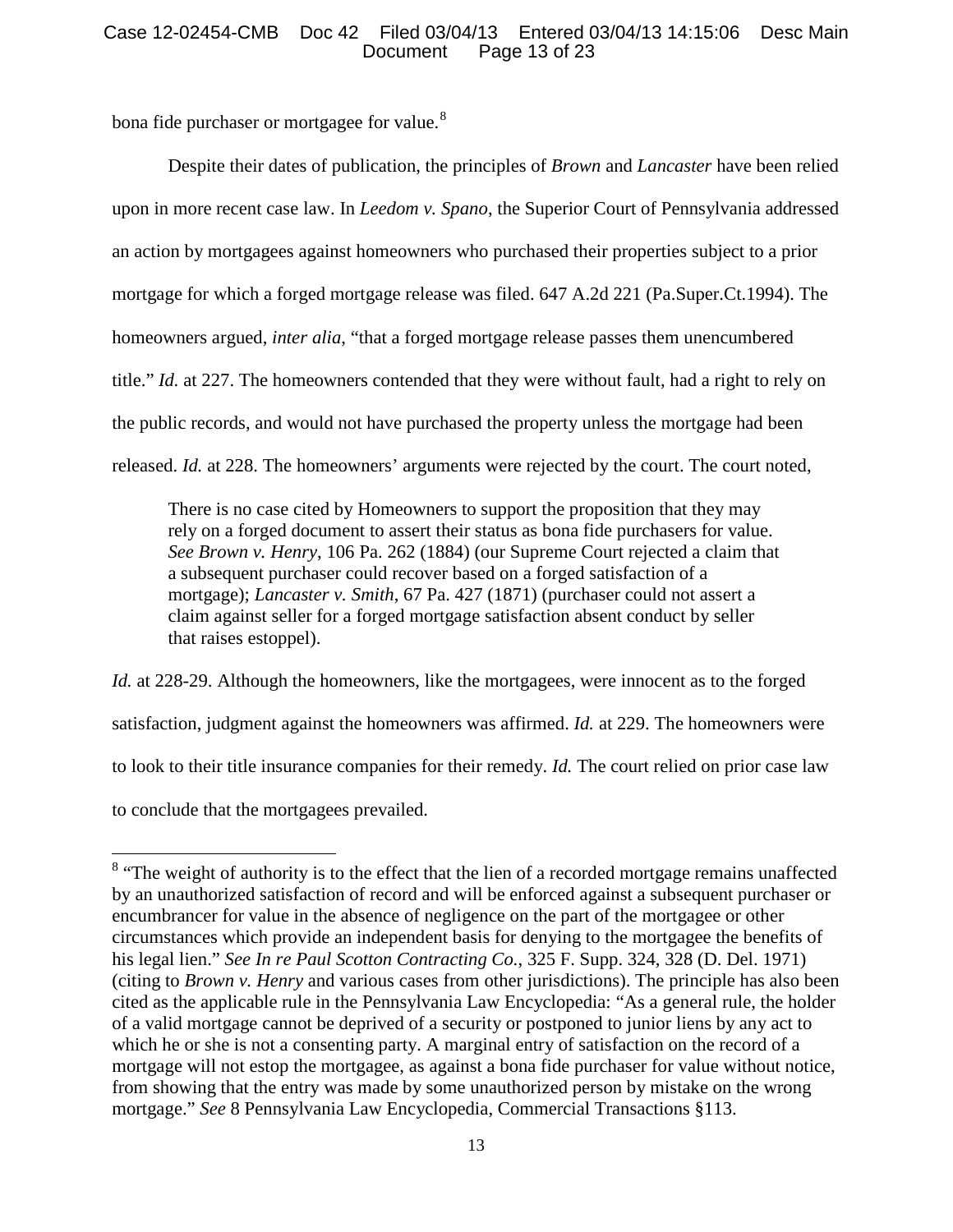# Case 12-02454-CMB Doc 42 Filed 03/04/13 Entered 03/04/13 14:15:06 Desc Main Page 13 of 23

bona fide purchaser or mortgagee for value.<sup>[8](#page-12-0)</sup>

Despite their dates of publication, the principles of *Brown* and *Lancaster* have been relied upon in more recent case law. In *Leedom v. Spano*, the Superior Court of Pennsylvania addressed an action by mortgagees against homeowners who purchased their properties subject to a prior mortgage for which a forged mortgage release was filed. 647 A.2d 221 (Pa.Super.Ct.1994). The homeowners argued, *inter alia*, "that a forged mortgage release passes them unencumbered title." *Id.* at 227. The homeowners contended that they were without fault, had a right to rely on the public records, and would not have purchased the property unless the mortgage had been released. *Id.* at 228. The homeowners' arguments were rejected by the court. The court noted,

There is no case cited by Homeowners to support the proposition that they may rely on a forged document to assert their status as bona fide purchasers for value. *See Brown v. Henry*, 106 Pa. 262 (1884) (our Supreme Court rejected a claim that a subsequent purchaser could recover based on a forged satisfaction of a mortgage); *Lancaster v. Smith*, 67 Pa. 427 (1871) (purchaser could not assert a claim against seller for a forged mortgage satisfaction absent conduct by seller that raises estoppel).

*Id.* at 228-29. Although the homeowners, like the mortgagees, were innocent as to the forged satisfaction, judgment against the homeowners was affirmed. *Id.* at 229. The homeowners were to look to their title insurance companies for their remedy. *Id.* The court relied on prior case law to conclude that the mortgagees prevailed.

<span id="page-12-0"></span><sup>&</sup>lt;sup>8</sup> "The weight of authority is to the effect that the lien of a recorded mortgage remains unaffected by an unauthorized satisfaction of record and will be enforced against a subsequent purchaser or encumbrancer for value in the absence of negligence on the part of the mortgagee or other circumstances which provide an independent basis for denying to the mortgagee the benefits of his legal lien." *See In re Paul Scotton Contracting Co.*, 325 F. Supp. 324, 328 (D. Del. 1971) (citing to *Brown v. Henry* and various cases from other jurisdictions). The principle has also been cited as the applicable rule in the Pennsylvania Law Encyclopedia: "As a general rule, the holder of a valid mortgage cannot be deprived of a security or postponed to junior liens by any act to which he or she is not a consenting party. A marginal entry of satisfaction on the record of a mortgage will not estop the mortgagee, as against a bona fide purchaser for value without notice, from showing that the entry was made by some unauthorized person by mistake on the wrong mortgage." *See* 8 Pennsylvania Law Encyclopedia, Commercial Transactions §113.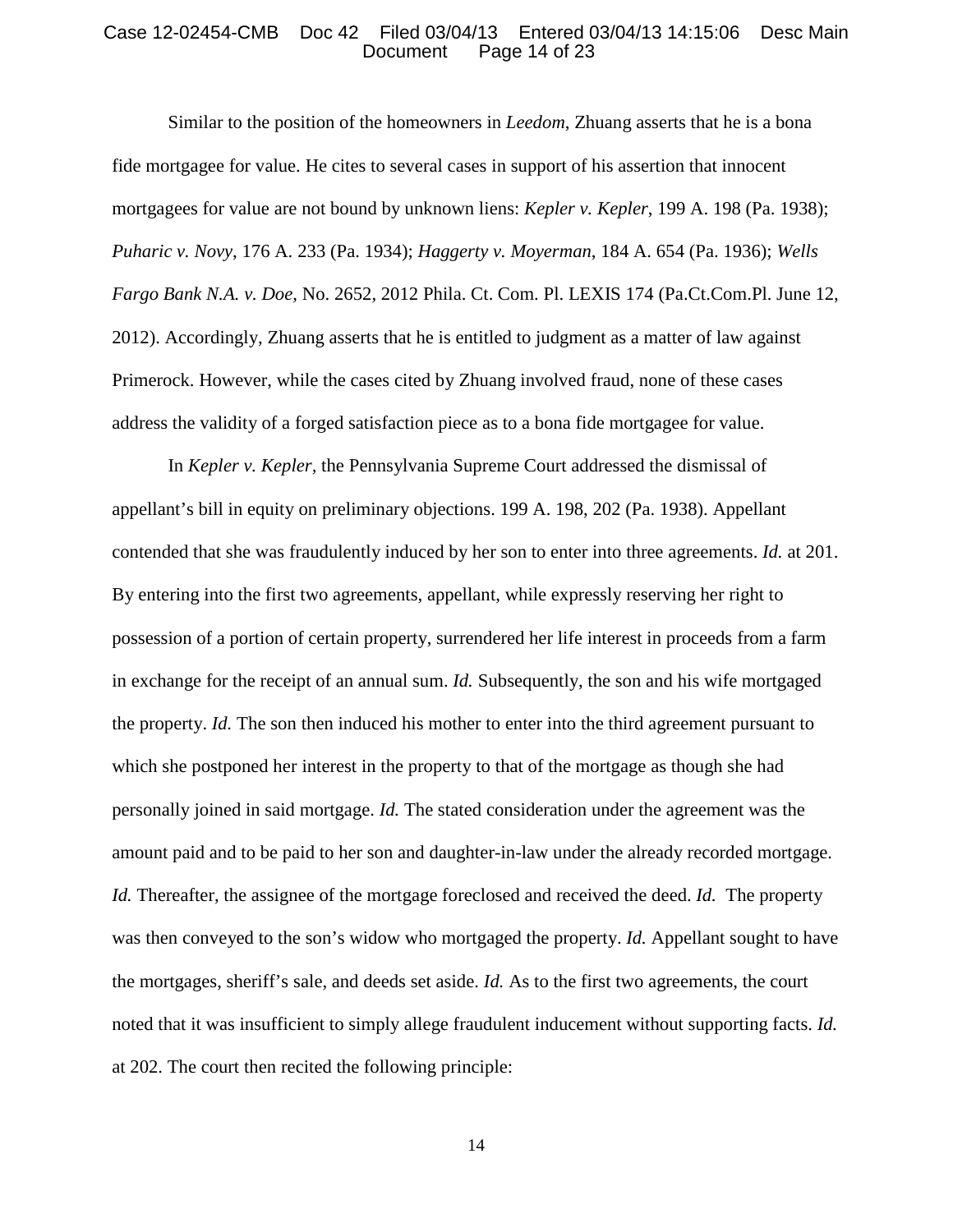#### Case 12-02454-CMB Doc 42 Filed 03/04/13 Entered 03/04/13 14:15:06 Desc Main Page 14 of 23

Similar to the position of the homeowners in *Leedom*, Zhuang asserts that he is a bona fide mortgagee for value. He cites to several cases in support of his assertion that innocent mortgagees for value are not bound by unknown liens: *Kepler v. Kepler*, 199 A. 198 (Pa. 1938); *Puharic v. Novy*, 176 A. 233 (Pa. 1934); *Haggerty v. Moyerman*, 184 A. 654 (Pa. 1936); *Wells Fargo Bank N.A. v. Doe*, No. 2652, 2012 Phila. Ct. Com. Pl. LEXIS 174 (Pa.Ct.Com.Pl. June 12, 2012). Accordingly, Zhuang asserts that he is entitled to judgment as a matter of law against Primerock. However, while the cases cited by Zhuang involved fraud, none of these cases address the validity of a forged satisfaction piece as to a bona fide mortgagee for value.

In *Kepler v. Kepler,* the Pennsylvania Supreme Court addressed the dismissal of appellant's bill in equity on preliminary objections. 199 A. 198, 202 (Pa. 1938). Appellant contended that she was fraudulently induced by her son to enter into three agreements. *Id.* at 201. By entering into the first two agreements, appellant, while expressly reserving her right to possession of a portion of certain property, surrendered her life interest in proceeds from a farm in exchange for the receipt of an annual sum. *Id.* Subsequently, the son and his wife mortgaged the property. *Id.* The son then induced his mother to enter into the third agreement pursuant to which she postponed her interest in the property to that of the mortgage as though she had personally joined in said mortgage. *Id.* The stated consideration under the agreement was the amount paid and to be paid to her son and daughter-in-law under the already recorded mortgage. *Id.* Thereafter, the assignee of the mortgage foreclosed and received the deed. *Id.* The property was then conveyed to the son's widow who mortgaged the property. *Id.* Appellant sought to have the mortgages, sheriff's sale, and deeds set aside. *Id.* As to the first two agreements, the court noted that it was insufficient to simply allege fraudulent inducement without supporting facts. *Id.*  at 202. The court then recited the following principle: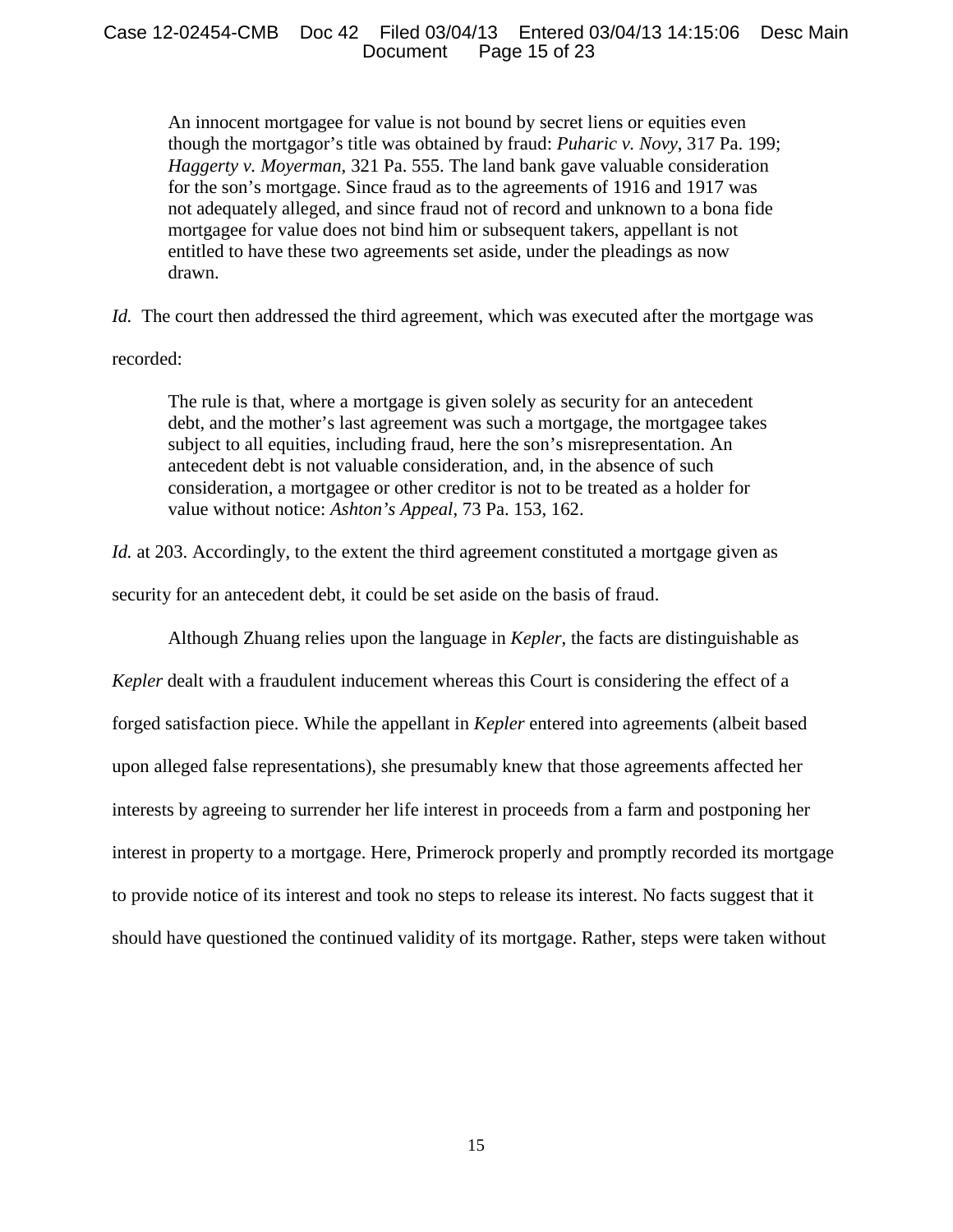# Case 12-02454-CMB Doc 42 Filed 03/04/13 Entered 03/04/13 14:15:06 Desc Main Page 15 of 23

An innocent mortgagee for value is not bound by secret liens or equities even though the mortgagor's title was obtained by fraud: *Puharic v. Novy*, 317 Pa. 199; *Haggerty v. Moyerman*, 321 Pa. 555. The land bank gave valuable consideration for the son's mortgage. Since fraud as to the agreements of 1916 and 1917 was not adequately alleged, and since fraud not of record and unknown to a bona fide mortgagee for value does not bind him or subsequent takers, appellant is not entitled to have these two agreements set aside, under the pleadings as now drawn.

*Id.* The court then addressed the third agreement, which was executed after the mortgage was

## recorded:

The rule is that, where a mortgage is given solely as security for an antecedent debt, and the mother's last agreement was such a mortgage, the mortgagee takes subject to all equities, including fraud, here the son's misrepresentation. An antecedent debt is not valuable consideration, and, in the absence of such consideration, a mortgagee or other creditor is not to be treated as a holder for value without notice: *Ashton's Appeal*, 73 Pa. 153, 162.

*Id.* at 203. Accordingly, to the extent the third agreement constituted a mortgage given as

security for an antecedent debt, it could be set aside on the basis of fraud.

Although Zhuang relies upon the language in *Kepler*, the facts are distinguishable as

*Kepler* dealt with a fraudulent inducement whereas this Court is considering the effect of a forged satisfaction piece. While the appellant in *Kepler* entered into agreements (albeit based upon alleged false representations), she presumably knew that those agreements affected her interests by agreeing to surrender her life interest in proceeds from a farm and postponing her interest in property to a mortgage. Here, Primerock properly and promptly recorded its mortgage to provide notice of its interest and took no steps to release its interest. No facts suggest that it should have questioned the continued validity of its mortgage. Rather, steps were taken without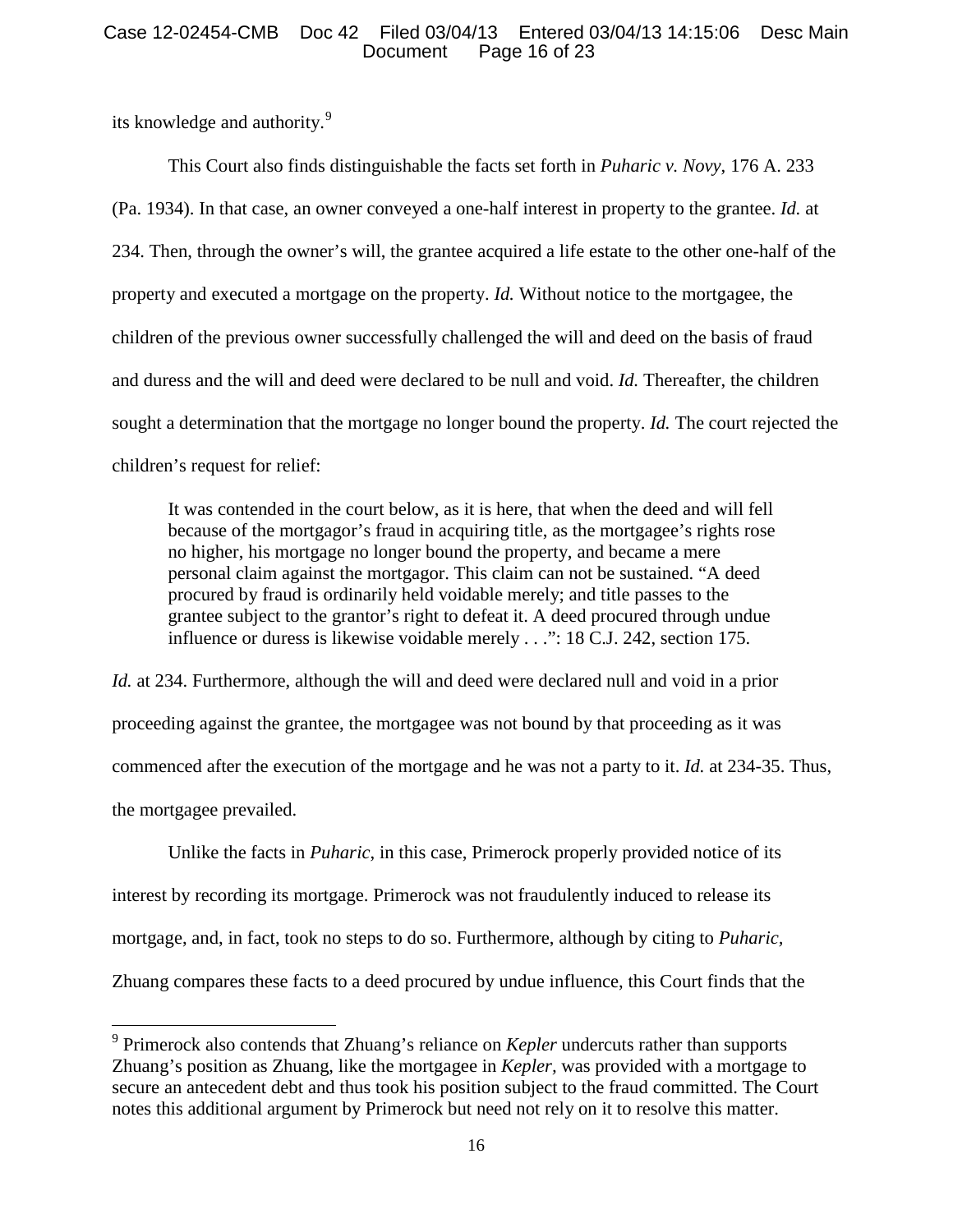# Case 12-02454-CMB Doc 42 Filed 03/04/13 Entered 03/04/13 14:15:06 Desc Main Page 16 of 23

its knowledge and authority.<sup>[9](#page-15-0)</sup>

This Court also finds distinguishable the facts set forth in *Puharic v. Novy*, 176 A. 233 (Pa. 1934). In that case, an owner conveyed a one-half interest in property to the grantee. *Id.* at 234. Then, through the owner's will, the grantee acquired a life estate to the other one-half of the property and executed a mortgage on the property. *Id.* Without notice to the mortgagee, the children of the previous owner successfully challenged the will and deed on the basis of fraud and duress and the will and deed were declared to be null and void. *Id.* Thereafter, the children sought a determination that the mortgage no longer bound the property. *Id.* The court rejected the children's request for relief:

It was contended in the court below, as it is here, that when the deed and will fell because of the mortgagor's fraud in acquiring title, as the mortgagee's rights rose no higher, his mortgage no longer bound the property, and became a mere personal claim against the mortgagor. This claim can not be sustained. "A deed procured by fraud is ordinarily held voidable merely; and title passes to the grantee subject to the grantor's right to defeat it. A deed procured through undue influence or duress is likewise voidable merely . . .": 18 C.J. 242, section 175.

*Id.* at 234. Furthermore, although the will and deed were declared null and void in a prior proceeding against the grantee, the mortgagee was not bound by that proceeding as it was commenced after the execution of the mortgage and he was not a party to it. *Id.* at 234-35. Thus, the mortgagee prevailed.

Unlike the facts in *Puharic*, in this case, Primerock properly provided notice of its interest by recording its mortgage. Primerock was not fraudulently induced to release its mortgage, and, in fact, took no steps to do so. Furthermore, although by citing to *Puharic,* Zhuang compares these facts to a deed procured by undue influence, this Court finds that the

<span id="page-15-0"></span><sup>9</sup> Primerock also contends that Zhuang's reliance on *Kepler* undercuts rather than supports Zhuang's position as Zhuang, like the mortgagee in *Kepler,* was provided with a mortgage to secure an antecedent debt and thus took his position subject to the fraud committed. The Court notes this additional argument by Primerock but need not rely on it to resolve this matter.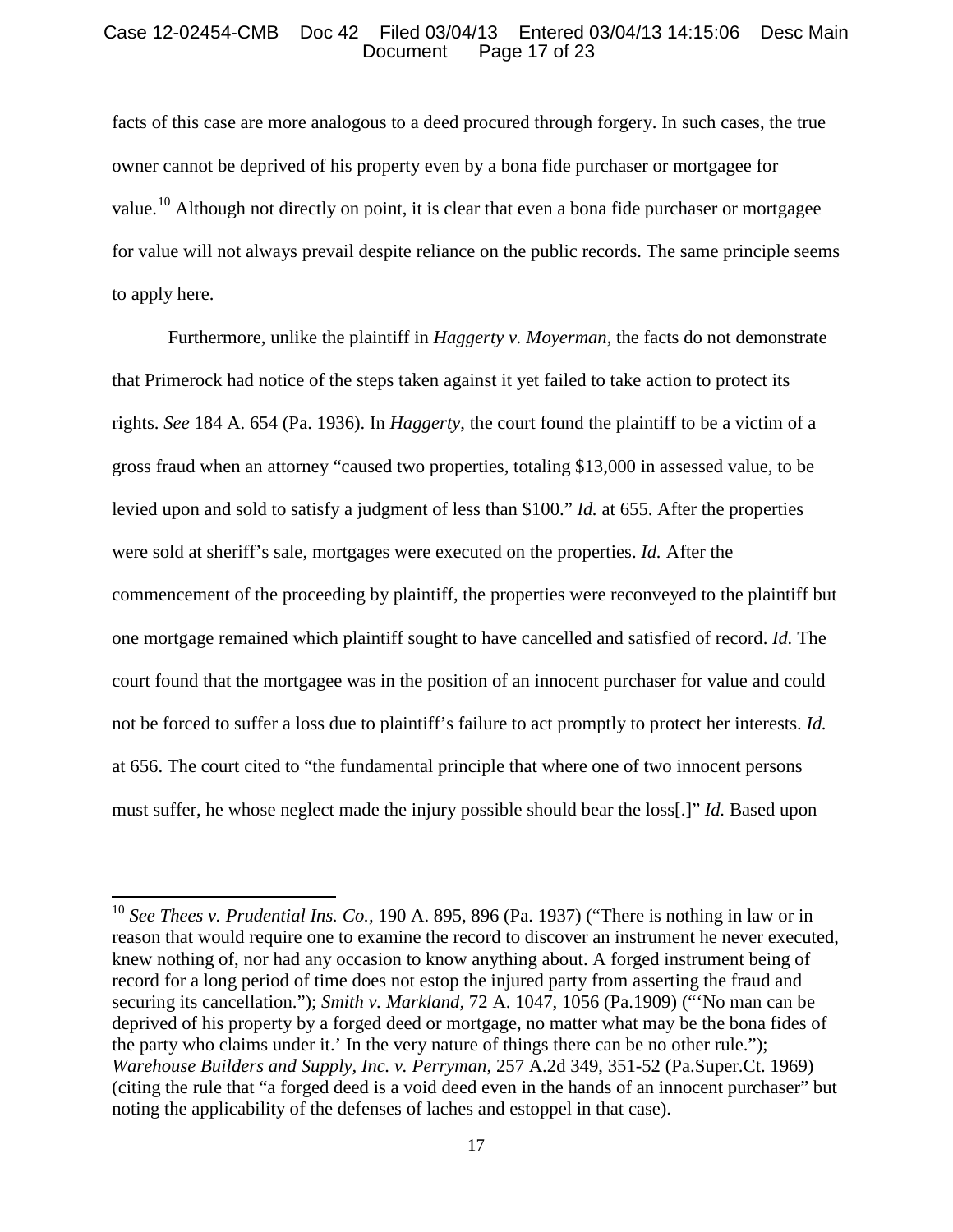# Case 12-02454-CMB Doc 42 Filed 03/04/13 Entered 03/04/13 14:15:06 Desc Main Page 17 of 23

facts of this case are more analogous to a deed procured through forgery. In such cases, the true owner cannot be deprived of his property even by a bona fide purchaser or mortgagee for value.<sup>[10](#page-16-0)</sup> Although not directly on point, it is clear that even a bona fide purchaser or mortgagee for value will not always prevail despite reliance on the public records. The same principle seems to apply here.

Furthermore, unlike the plaintiff in *Haggerty v. Moyerman*, the facts do not demonstrate that Primerock had notice of the steps taken against it yet failed to take action to protect its rights. *See* 184 A. 654 (Pa. 1936). In *Haggerty*, the court found the plaintiff to be a victim of a gross fraud when an attorney "caused two properties, totaling \$13,000 in assessed value, to be levied upon and sold to satisfy a judgment of less than \$100." *Id.* at 655. After the properties were sold at sheriff's sale, mortgages were executed on the properties. *Id.* After the commencement of the proceeding by plaintiff, the properties were reconveyed to the plaintiff but one mortgage remained which plaintiff sought to have cancelled and satisfied of record. *Id.* The court found that the mortgagee was in the position of an innocent purchaser for value and could not be forced to suffer a loss due to plaintiff's failure to act promptly to protect her interests. *Id.*  at 656. The court cited to "the fundamental principle that where one of two innocent persons must suffer, he whose neglect made the injury possible should bear the loss[.]" *Id.* Based upon

<span id="page-16-0"></span><sup>10</sup> *See Thees v. Prudential Ins. Co.,* 190 A. 895, 896 (Pa. 1937) ("There is nothing in law or in reason that would require one to examine the record to discover an instrument he never executed, knew nothing of, nor had any occasion to know anything about. A forged instrument being of record for a long period of time does not estop the injured party from asserting the fraud and securing its cancellation."); *Smith v. Markland,* 72 A. 1047, 1056 (Pa.1909) ("'No man can be deprived of his property by a forged deed or mortgage, no matter what may be the bona fides of the party who claims under it.' In the very nature of things there can be no other rule."); *Warehouse Builders and Supply, Inc. v. Perryman*, 257 A.2d 349, 351-52 (Pa.Super.Ct. 1969) (citing the rule that "a forged deed is a void deed even in the hands of an innocent purchaser" but noting the applicability of the defenses of laches and estoppel in that case).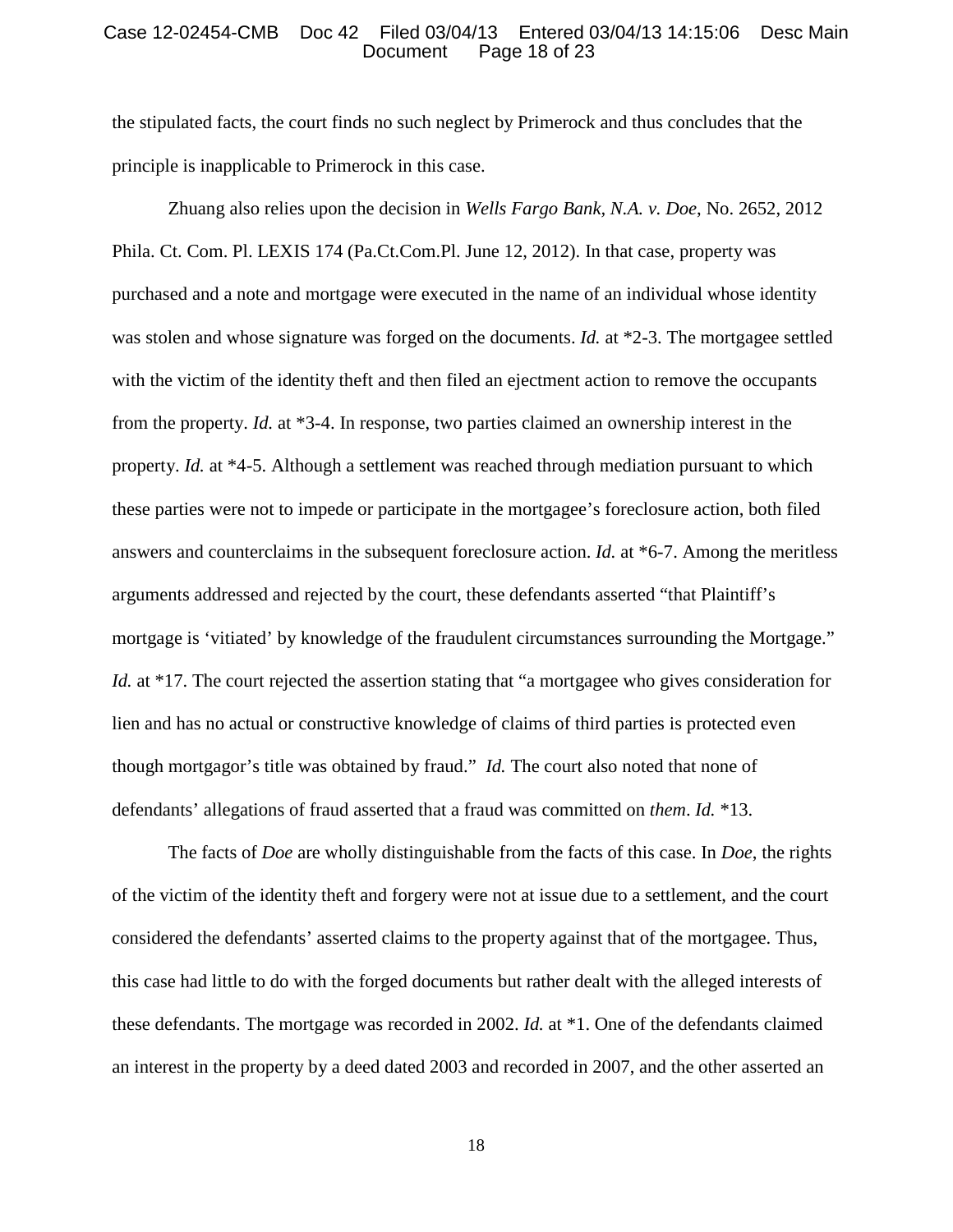#### Case 12-02454-CMB Doc 42 Filed 03/04/13 Entered 03/04/13 14:15:06 Desc Main Page 18 of 23

the stipulated facts, the court finds no such neglect by Primerock and thus concludes that the principle is inapplicable to Primerock in this case.

Zhuang also relies upon the decision in *Wells Fargo Bank, N.A. v. Doe*, No. 2652, 2012 Phila. Ct. Com. Pl. LEXIS 174 (Pa.Ct.Com.Pl. June 12, 2012). In that case, property was purchased and a note and mortgage were executed in the name of an individual whose identity was stolen and whose signature was forged on the documents. *Id.* at \*2-3. The mortgagee settled with the victim of the identity theft and then filed an ejectment action to remove the occupants from the property. *Id.* at \*3-4. In response, two parties claimed an ownership interest in the property. *Id.* at \*4-5. Although a settlement was reached through mediation pursuant to which these parties were not to impede or participate in the mortgagee's foreclosure action, both filed answers and counterclaims in the subsequent foreclosure action. *Id.* at \*6-7. Among the meritless arguments addressed and rejected by the court, these defendants asserted "that Plaintiff's mortgage is 'vitiated' by knowledge of the fraudulent circumstances surrounding the Mortgage." *Id.* at \*17. The court rejected the assertion stating that "a mortgagee who gives consideration for lien and has no actual or constructive knowledge of claims of third parties is protected even though mortgagor's title was obtained by fraud." *Id.* The court also noted that none of defendants' allegations of fraud asserted that a fraud was committed on *them*. *Id.* \*13.

The facts of *Doe* are wholly distinguishable from the facts of this case. In *Doe*, the rights of the victim of the identity theft and forgery were not at issue due to a settlement, and the court considered the defendants' asserted claims to the property against that of the mortgagee. Thus, this case had little to do with the forged documents but rather dealt with the alleged interests of these defendants. The mortgage was recorded in 2002. *Id.* at \*1. One of the defendants claimed an interest in the property by a deed dated 2003 and recorded in 2007, and the other asserted an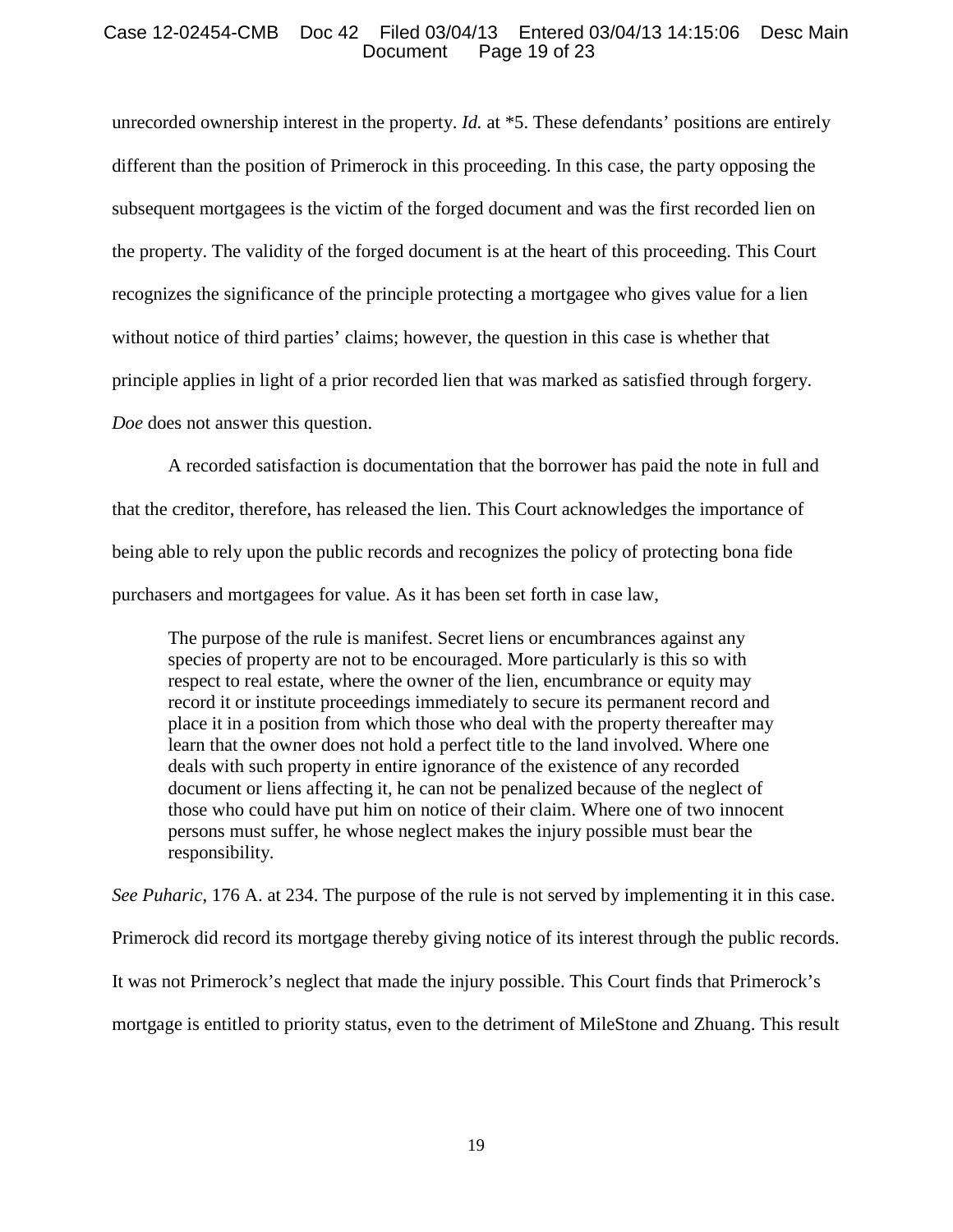# Case 12-02454-CMB Doc 42 Filed 03/04/13 Entered 03/04/13 14:15:06 Desc Main Page 19 of 23

unrecorded ownership interest in the property. *Id.* at \*5. These defendants' positions are entirely different than the position of Primerock in this proceeding. In this case, the party opposing the subsequent mortgagees is the victim of the forged document and was the first recorded lien on the property. The validity of the forged document is at the heart of this proceeding. This Court recognizes the significance of the principle protecting a mortgagee who gives value for a lien without notice of third parties' claims; however, the question in this case is whether that principle applies in light of a prior recorded lien that was marked as satisfied through forgery. *Doe* does not answer this question.

A recorded satisfaction is documentation that the borrower has paid the note in full and that the creditor, therefore, has released the lien. This Court acknowledges the importance of being able to rely upon the public records and recognizes the policy of protecting bona fide purchasers and mortgagees for value. As it has been set forth in case law,

The purpose of the rule is manifest. Secret liens or encumbrances against any species of property are not to be encouraged. More particularly is this so with respect to real estate, where the owner of the lien, encumbrance or equity may record it or institute proceedings immediately to secure its permanent record and place it in a position from which those who deal with the property thereafter may learn that the owner does not hold a perfect title to the land involved. Where one deals with such property in entire ignorance of the existence of any recorded document or liens affecting it, he can not be penalized because of the neglect of those who could have put him on notice of their claim. Where one of two innocent persons must suffer, he whose neglect makes the injury possible must bear the responsibility.

*See Puharic*, 176 A. at 234. The purpose of the rule is not served by implementing it in this case. Primerock did record its mortgage thereby giving notice of its interest through the public records. It was not Primerock's neglect that made the injury possible. This Court finds that Primerock's mortgage is entitled to priority status, even to the detriment of MileStone and Zhuang. This result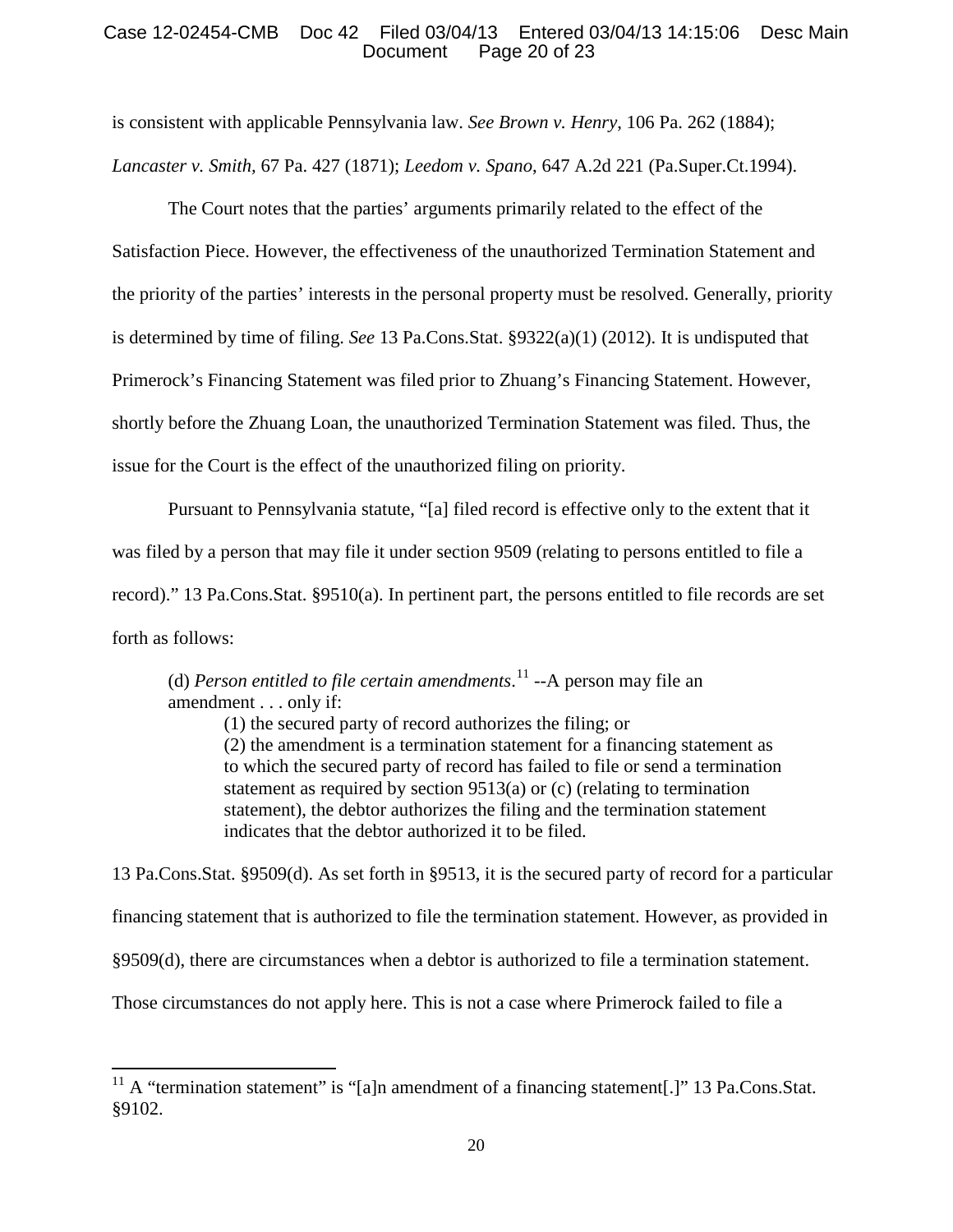# Case 12-02454-CMB Doc 42 Filed 03/04/13 Entered 03/04/13 14:15:06 Desc Main Page 20 of 23

is consistent with applicable Pennsylvania law. *See Brown v. Henry*, 106 Pa. 262 (1884); *Lancaster v. Smith,* 67 Pa. 427 (1871); *Leedom v. Spano*, 647 A.2d 221 (Pa.Super.Ct.1994).

The Court notes that the parties' arguments primarily related to the effect of the Satisfaction Piece. However, the effectiveness of the unauthorized Termination Statement and the priority of the parties' interests in the personal property must be resolved. Generally, priority is determined by time of filing. *See* 13 Pa.Cons.Stat. §9322(a)(1) (2012). It is undisputed that Primerock's Financing Statement was filed prior to Zhuang's Financing Statement. However, shortly before the Zhuang Loan, the unauthorized Termination Statement was filed. Thus, the issue for the Court is the effect of the unauthorized filing on priority.

Pursuant to Pennsylvania statute, "[a] filed record is effective only to the extent that it was filed by a person that may file it under section 9509 (relating to persons entitled to file a record)." 13 Pa.Cons.Stat. §9510(a). In pertinent part, the persons entitled to file records are set forth as follows:

(d) *Person entitled to file certain amendments*. [11](#page-19-0) --A person may file an amendment . . . only if:

> (1) the secured party of record authorizes the filing; or (2) the amendment is a termination statement for a financing statement as to which the secured party of record has failed to file or send a termination statement as required by section 9513(a) or (c) (relating to termination statement), the debtor authorizes the filing and the termination statement indicates that the debtor authorized it to be filed.

13 Pa.Cons.Stat. §9509(d). As set forth in §9513, it is the secured party of record for a particular financing statement that is authorized to file the termination statement. However, as provided in §9509(d), there are circumstances when a debtor is authorized to file a termination statement. Those circumstances do not apply here. This is not a case where Primerock failed to file a

<span id="page-19-0"></span><sup>&</sup>lt;sup>11</sup> A "termination statement" is "[a]n amendment of a financing statement[.]" 13 Pa.Cons.Stat. §9102.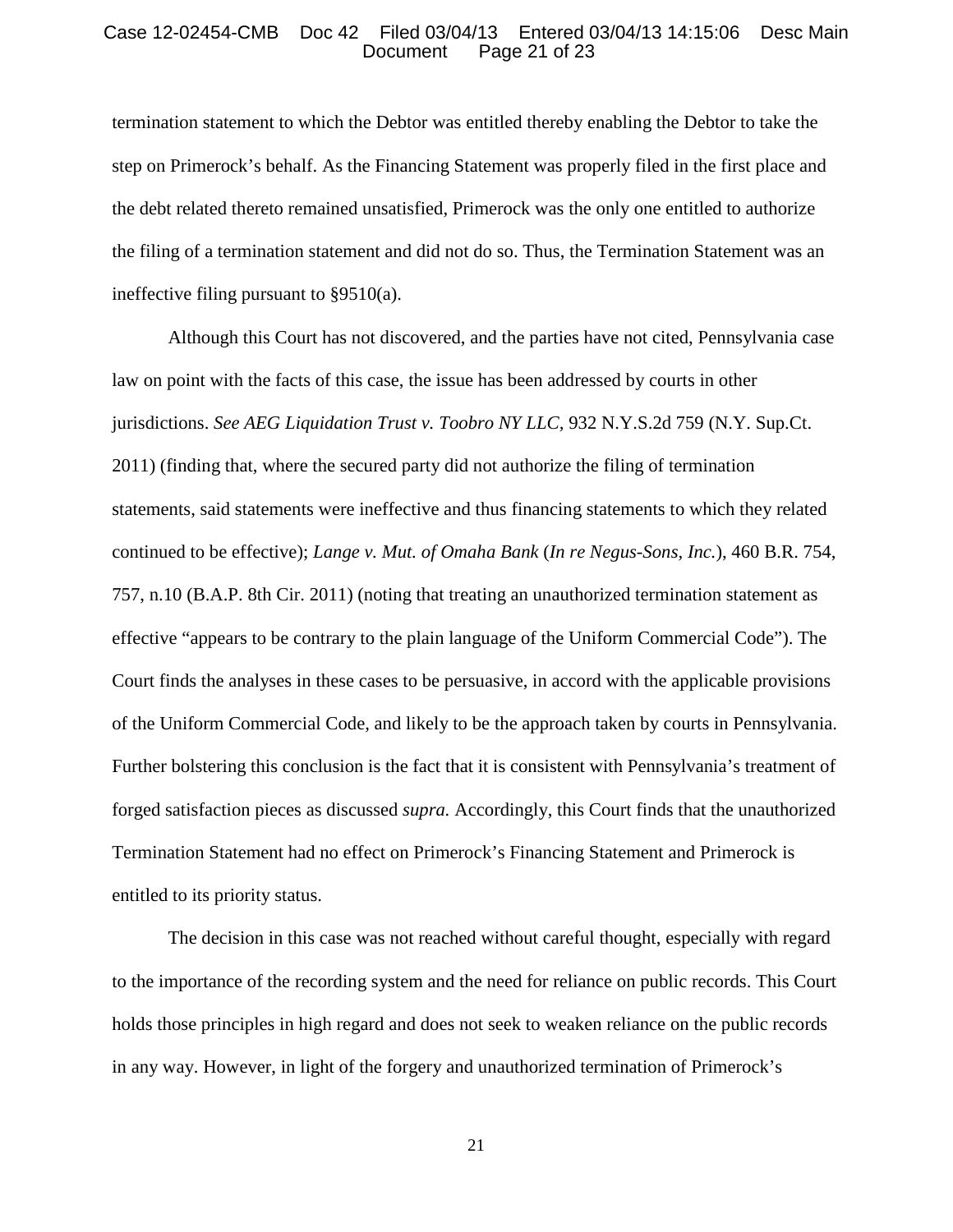#### Case 12-02454-CMB Doc 42 Filed 03/04/13 Entered 03/04/13 14:15:06 Desc Main Page 21 of 23

termination statement to which the Debtor was entitled thereby enabling the Debtor to take the step on Primerock's behalf. As the Financing Statement was properly filed in the first place and the debt related thereto remained unsatisfied, Primerock was the only one entitled to authorize the filing of a termination statement and did not do so. Thus, the Termination Statement was an ineffective filing pursuant to §9510(a).

Although this Court has not discovered, and the parties have not cited, Pennsylvania case law on point with the facts of this case, the issue has been addressed by courts in other jurisdictions. *See AEG Liquidation Trust v. Toobro NY LLC,* 932 N.Y.S.2d 759 (N.Y. Sup.Ct. 2011) (finding that, where the secured party did not authorize the filing of termination statements, said statements were ineffective and thus financing statements to which they related continued to be effective); *Lange v. Mut. of Omaha Bank* (*In re Negus-Sons, Inc.*), 460 B.R. 754, 757, n.10 (B.A.P. 8th Cir. 2011) (noting that treating an unauthorized termination statement as effective "appears to be contrary to the plain language of the Uniform Commercial Code"). The Court finds the analyses in these cases to be persuasive, in accord with the applicable provisions of the Uniform Commercial Code, and likely to be the approach taken by courts in Pennsylvania. Further bolstering this conclusion is the fact that it is consistent with Pennsylvania's treatment of forged satisfaction pieces as discussed *supra.* Accordingly, this Court finds that the unauthorized Termination Statement had no effect on Primerock's Financing Statement and Primerock is entitled to its priority status.

The decision in this case was not reached without careful thought, especially with regard to the importance of the recording system and the need for reliance on public records. This Court holds those principles in high regard and does not seek to weaken reliance on the public records in any way. However, in light of the forgery and unauthorized termination of Primerock's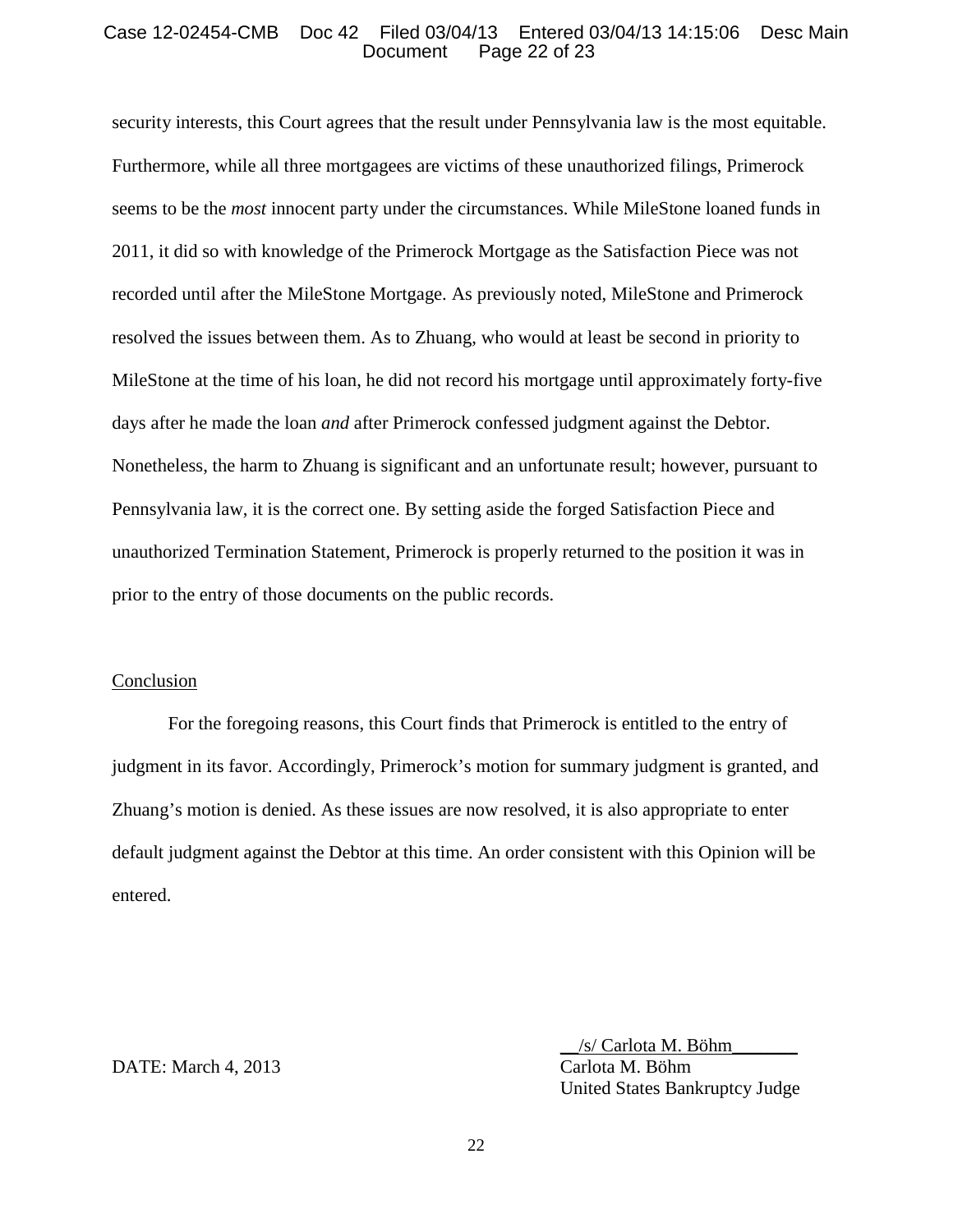## Case 12-02454-CMB Doc 42 Filed 03/04/13 Entered 03/04/13 14:15:06 Desc Main Page 22 of 23

security interests, this Court agrees that the result under Pennsylvania law is the most equitable. Furthermore, while all three mortgagees are victims of these unauthorized filings, Primerock seems to be the *most* innocent party under the circumstances. While MileStone loaned funds in 2011, it did so with knowledge of the Primerock Mortgage as the Satisfaction Piece was not recorded until after the MileStone Mortgage. As previously noted, MileStone and Primerock resolved the issues between them. As to Zhuang, who would at least be second in priority to MileStone at the time of his loan, he did not record his mortgage until approximately forty-five days after he made the loan *and* after Primerock confessed judgment against the Debtor. Nonetheless, the harm to Zhuang is significant and an unfortunate result; however, pursuant to Pennsylvania law, it is the correct one. By setting aside the forged Satisfaction Piece and unauthorized Termination Statement, Primerock is properly returned to the position it was in prior to the entry of those documents on the public records.

## Conclusion

For the foregoing reasons, this Court finds that Primerock is entitled to the entry of judgment in its favor. Accordingly, Primerock's motion for summary judgment is granted, and Zhuang's motion is denied. As these issues are now resolved, it is also appropriate to enter default judgment against the Debtor at this time. An order consistent with this Opinion will be entered.

## DATE: March 4, 2013 Carlota M. Böhm

\_\_/s/ Carlota M. Böhm\_\_\_\_\_\_\_ United States Bankruptcy Judge